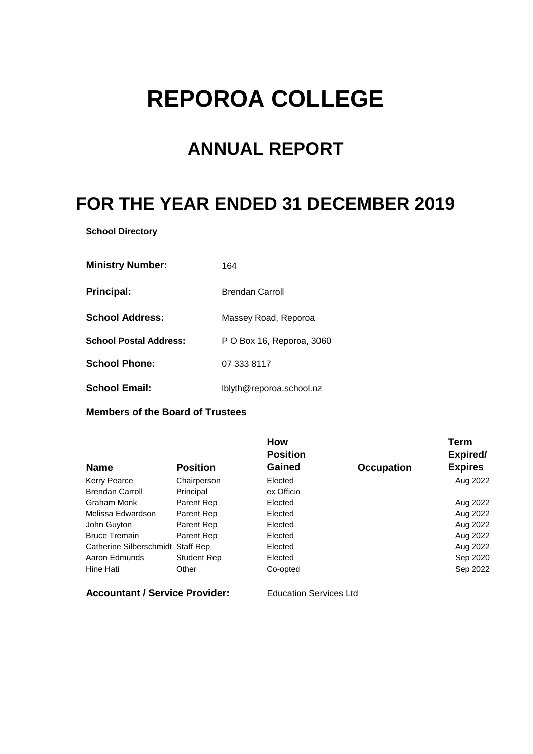# **REPOROA COLLEGE**

# **ANNUAL REPORT**

# **FOR THE YEAR ENDED 31 DECEMBER 2019**

**School Directory**

| <b>Ministry Number:</b>       | 164                       |
|-------------------------------|---------------------------|
| <b>Principal:</b>             | <b>Brendan Carroll</b>    |
| <b>School Address:</b>        | Massey Road, Reporoa      |
| <b>School Postal Address:</b> | P O Box 16, Reporoa, 3060 |
| <b>School Phone:</b>          | 07 333 8117               |
| <b>School Email:</b>          | lblyth@reporoa.school.nz  |

**Members of the Board of Trustees**

|                                   |                    | <b>How</b>      |                   | Term           |
|-----------------------------------|--------------------|-----------------|-------------------|----------------|
|                                   |                    | <b>Position</b> |                   | Expired/       |
| <b>Name</b>                       | <b>Position</b>    | Gained          | <b>Occupation</b> | <b>Expires</b> |
| <b>Kerry Pearce</b>               | Chairperson        | Elected         |                   | Aug 2022       |
| <b>Brendan Carroll</b>            | Principal          | ex Officio      |                   |                |
| Graham Monk                       | Parent Rep         | Elected         |                   | Aug 2022       |
| Melissa Edwardson                 | Parent Rep         | Elected         |                   | Aug 2022       |
| John Guyton                       | Parent Rep         | Elected         |                   | Aug 2022       |
| <b>Bruce Tremain</b>              | Parent Rep         | Elected         |                   | Aug 2022       |
| Catherine Silberschmidt Staff Rep |                    | Elected         |                   | Aug 2022       |
| Aaron Edmunds                     | <b>Student Rep</b> | Elected         |                   | Sep 2020       |
| Hine Hati                         | Other              | Co-opted        |                   | Sep 2022       |
|                                   |                    |                 |                   |                |

**Accountant / Service Provider:** Education Services Ltd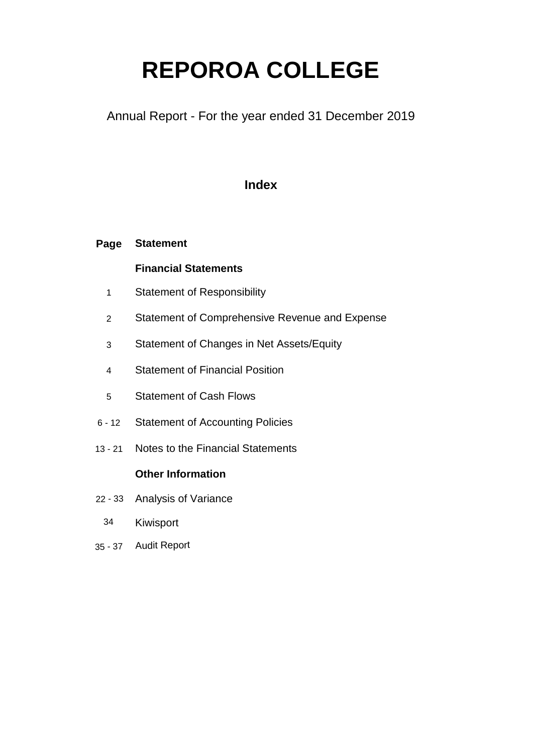# **REPOROA COLLEGE**

Annual Report - For the year ended 31 December 2019

# **Index**

#### **Page Statement**

# **Financial Statements**

- 1 Statement of Responsibility
- 2 Statement of Comprehensive Revenue and Expense
- 3 Statement of Changes in Net Assets/Equity
- 4 Statement of Financial Position
- 5 Statement of Cash Flows
- 6 12 Statement of Accounting Policies
- 13 21 Notes to the Financial Statements

# **Other Information**

- 22 33 Analysis of Variance
	- Kiwisport 34
- 35 37 Audit Report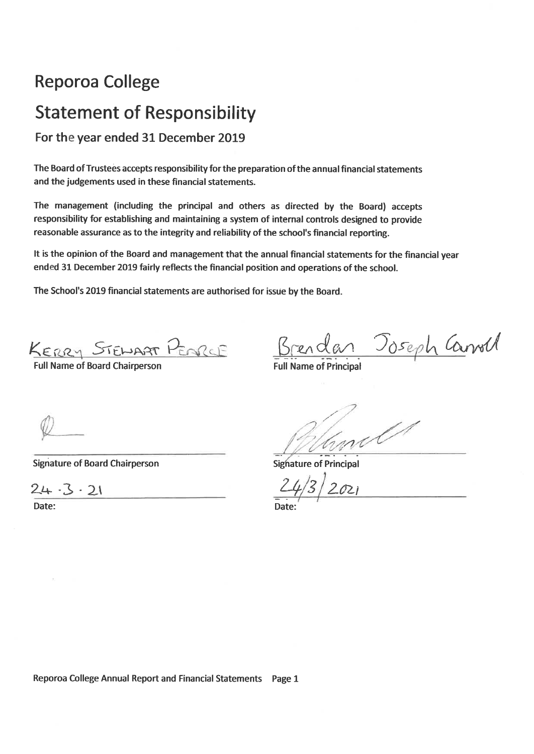# **Reporoa College**

# **Statement of Responsibility**

# For the year ended 31 December 2019

The Board of Trustees accepts responsibility for the preparation of the annual financial statements and the judgements used in these financial statements.

The management (including the principal and others as directed by the Board) accepts responsibility for establishing and maintaining a system of internal controls designed to provide reasonable assurance as to the integrity and reliability of the school's financial reporting.

It is the opinion of the Board and management that the annual financial statements for the financial year ended 31 December 2019 fairly reflects the financial position and operations of the school.

The School's 2019 financial statements are authorised for issue by the Board.

KERRY STEWART PEARCE

**Full Name of Board Chairperson** 

<u>Brendan Joseph Canoll</u>

**Signature of Board Chairperson** 

 $24 - 3 - 21$ 

Date:

**Signature of Principal** 

Date: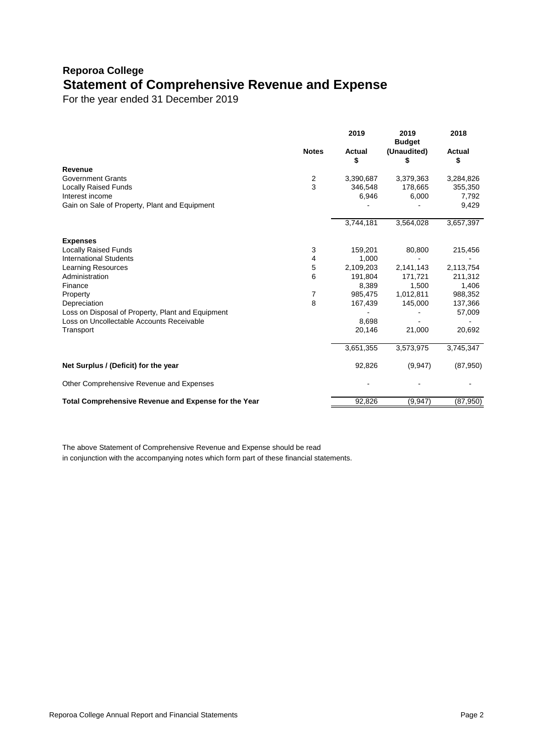# **Reporoa College Statement of Comprehensive Revenue and Expense**

For the year ended 31 December 2019

|                                                      |                         | 2019         | 2019<br><b>Budget</b> | 2018                |
|------------------------------------------------------|-------------------------|--------------|-----------------------|---------------------|
|                                                      | <b>Notes</b>            | Actual<br>\$ | (Unaudited)<br>\$     | <b>Actual</b><br>\$ |
| Revenue                                              |                         |              |                       |                     |
| <b>Government Grants</b>                             | $\overline{\mathbf{c}}$ | 3,390,687    | 3,379,363             | 3,284,826           |
| <b>Locally Raised Funds</b>                          | 3                       | 346,548      | 178,665               | 355,350             |
| Interest income                                      |                         | 6,946        | 6,000                 | 7,792               |
| Gain on Sale of Property, Plant and Equipment        |                         |              |                       | 9,429               |
|                                                      |                         | 3,744,181    | 3,564,028             | 3,657,397           |
| <b>Expenses</b>                                      |                         |              |                       |                     |
| <b>Locally Raised Funds</b>                          | 3                       | 159,201      | 80,800                | 215,456             |
| <b>International Students</b>                        | 4                       | 1,000        |                       |                     |
| <b>Learning Resources</b>                            | 5                       | 2,109,203    | 2,141,143             | 2,113,754           |
| Administration                                       | 6                       | 191,804      | 171.721               | 211,312             |
| Finance                                              |                         | 8,389        | 1,500                 | 1,406               |
| Property                                             | $\overline{7}$          | 985,475      | 1,012,811             | 988,352             |
| Depreciation                                         | 8                       | 167,439      | 145,000               | 137,366             |
| Loss on Disposal of Property, Plant and Equipment    |                         |              |                       | 57,009              |
| Loss on Uncollectable Accounts Receivable            |                         | 8,698        |                       |                     |
| Transport                                            |                         | 20,146       | 21,000                | 20,692              |
|                                                      |                         | 3,651,355    | 3,573,975             | 3,745,347           |
| Net Surplus / (Deficit) for the year                 |                         | 92,826       | (9,947)               | (87, 950)           |
| Other Comprehensive Revenue and Expenses             |                         |              |                       |                     |
| Total Comprehensive Revenue and Expense for the Year |                         | 92,826       | (9, 947)              | (87, 950)           |

The above Statement of Comprehensive Revenue and Expense should be read

in conjunction with the accompanying notes which form part of these financial statements.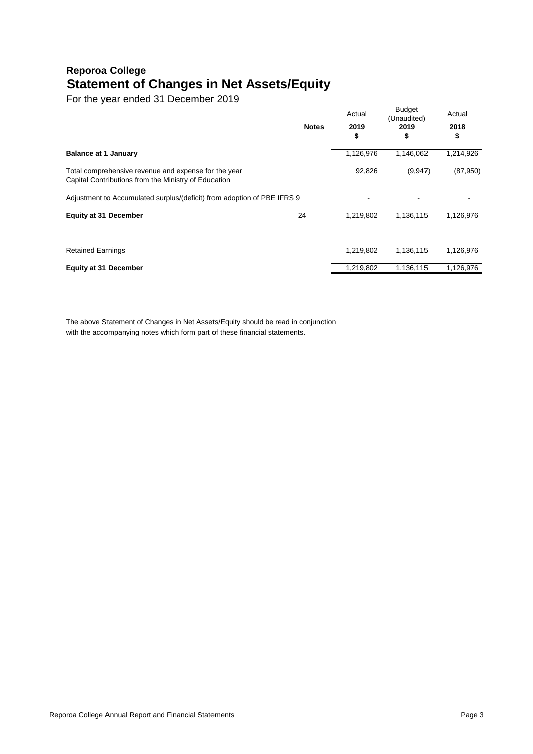# **Reporoa College Statement of Changes in Net Assets/Equity**

For the year ended 31 December 2019

|                                                                                                              | <b>Notes</b> | Actual<br>2019<br>\$ | <b>Budget</b><br>(Unaudited)<br>2019<br>\$ | Actual<br>2018<br>\$ |
|--------------------------------------------------------------------------------------------------------------|--------------|----------------------|--------------------------------------------|----------------------|
| <b>Balance at 1 January</b>                                                                                  |              | 1,126,976            | 1,146,062                                  | 1,214,926            |
| Total comprehensive revenue and expense for the year<br>Capital Contributions from the Ministry of Education |              | 92,826               | (9, 947)                                   | (87,950)             |
| Adjustment to Accumulated surplus/(deficit) from adoption of PBE IFRS 9                                      |              |                      |                                            |                      |
| <b>Equity at 31 December</b>                                                                                 | 24           | 1,219,802            | 1,136,115                                  | 1,126,976            |
|                                                                                                              |              |                      |                                            |                      |
| <b>Retained Earnings</b>                                                                                     |              | 1,219,802            | 1,136,115                                  | 1,126,976            |
| <b>Equity at 31 December</b>                                                                                 |              | 1,219,802            | 1,136,115                                  | 1,126,976            |

The above Statement of Changes in Net Assets/Equity should be read in conjunction with the accompanying notes which form part of these financial statements.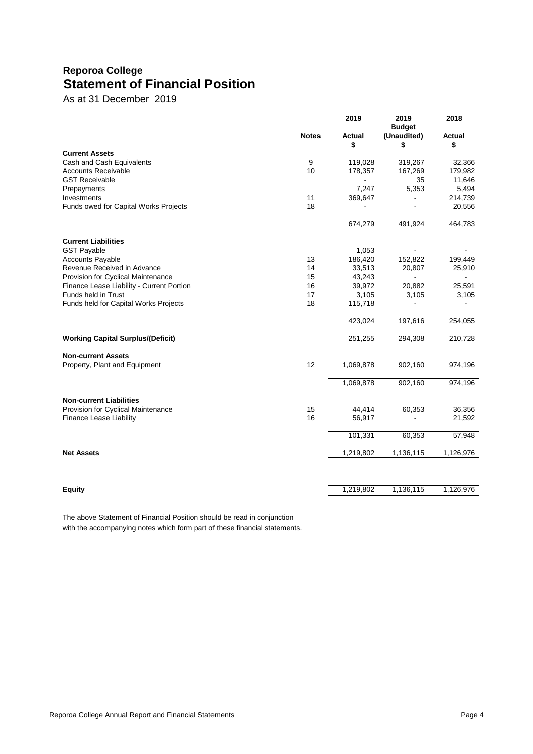# **Reporoa College Statement of Financial Position**

As at 31 December 2019

| <b>Notes</b><br><b>Actual</b><br>\$<br><b>Current Assets</b><br>9<br>Cash and Cash Equivalents<br>119,028<br>Accounts Receivable<br>10<br>178,357<br><b>GST Receivable</b><br>7,247<br>Prepayments<br>11<br>Investments<br>369,647 | (Unaudited)<br>\$<br>319,267<br>167,269<br>35<br>5,353<br>ä,<br>÷<br>491,924 | <b>Actual</b><br>\$<br>32,366<br>179,982<br>11,646<br>5,494<br>214,739<br>20,556<br>464,783 |
|------------------------------------------------------------------------------------------------------------------------------------------------------------------------------------------------------------------------------------|------------------------------------------------------------------------------|---------------------------------------------------------------------------------------------|
|                                                                                                                                                                                                                                    |                                                                              |                                                                                             |
|                                                                                                                                                                                                                                    |                                                                              |                                                                                             |
|                                                                                                                                                                                                                                    |                                                                              |                                                                                             |
|                                                                                                                                                                                                                                    |                                                                              |                                                                                             |
|                                                                                                                                                                                                                                    |                                                                              |                                                                                             |
|                                                                                                                                                                                                                                    |                                                                              |                                                                                             |
|                                                                                                                                                                                                                                    |                                                                              |                                                                                             |
| 18<br>Funds owed for Capital Works Projects                                                                                                                                                                                        |                                                                              |                                                                                             |
| 674,279                                                                                                                                                                                                                            |                                                                              |                                                                                             |
| <b>Current Liabilities</b>                                                                                                                                                                                                         |                                                                              |                                                                                             |
| <b>GST Payable</b><br>1,053                                                                                                                                                                                                        |                                                                              |                                                                                             |
| <b>Accounts Payable</b><br>13<br>186,420                                                                                                                                                                                           | 152,822                                                                      | 199,449                                                                                     |
| Revenue Received in Advance<br>14<br>33,513                                                                                                                                                                                        | 20,807                                                                       | 25,910                                                                                      |
| Provision for Cyclical Maintenance<br>43,243<br>15                                                                                                                                                                                 |                                                                              |                                                                                             |
| 39,972<br>Finance Lease Liability - Current Portion<br>16                                                                                                                                                                          | 20,882                                                                       | 25,591                                                                                      |
| Funds held in Trust<br>17<br>3,105                                                                                                                                                                                                 | 3,105                                                                        | 3,105                                                                                       |
| 18<br>Funds held for Capital Works Projects<br>115,718                                                                                                                                                                             |                                                                              |                                                                                             |
| 423,024                                                                                                                                                                                                                            | 197,616                                                                      | 254,055                                                                                     |
| <b>Working Capital Surplus/(Deficit)</b><br>251,255                                                                                                                                                                                | 294,308                                                                      | 210,728                                                                                     |
| <b>Non-current Assets</b>                                                                                                                                                                                                          |                                                                              |                                                                                             |
| 12<br>Property, Plant and Equipment<br>1,069,878                                                                                                                                                                                   | 902,160                                                                      | 974,196                                                                                     |
| 1,069,878                                                                                                                                                                                                                          | 902,160                                                                      | 974,196                                                                                     |
| <b>Non-current Liabilities</b>                                                                                                                                                                                                     |                                                                              |                                                                                             |
| Provision for Cyclical Maintenance<br>15<br>44,414                                                                                                                                                                                 | 60,353                                                                       | 36,356                                                                                      |
| 16<br>Finance Lease Liability<br>56,917                                                                                                                                                                                            |                                                                              | 21,592                                                                                      |
| 101,331                                                                                                                                                                                                                            | 60,353                                                                       | 57,948                                                                                      |
| <b>Net Assets</b><br>1,219,802                                                                                                                                                                                                     | 1,136,115                                                                    | 1,126,976                                                                                   |
|                                                                                                                                                                                                                                    |                                                                              |                                                                                             |
| 1,219,802<br><b>Equity</b>                                                                                                                                                                                                         | 1,136,115                                                                    | 1,126,976                                                                                   |

The above Statement of Financial Position should be read in conjunction

with the accompanying notes which form part of these financial statements.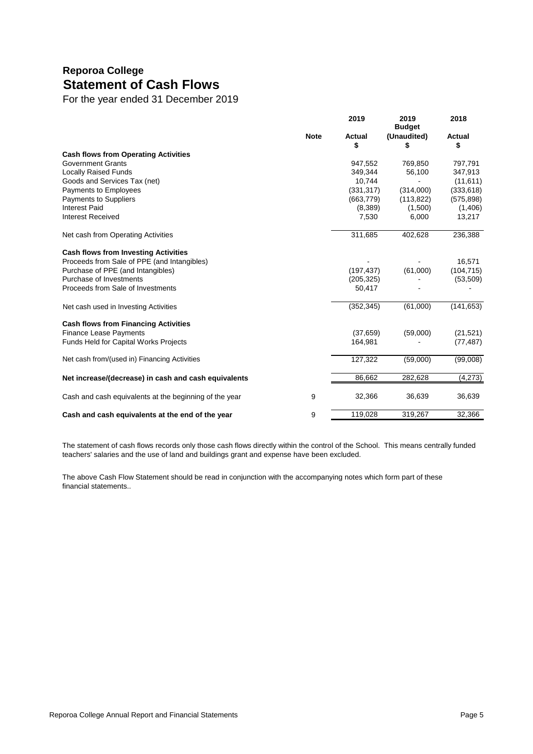# **Reporoa College Statement of Cash Flows**

For the year ended 31 December 2019

|                                                        |             | 2019                | 2019<br><b>Budget</b> | 2018         |
|--------------------------------------------------------|-------------|---------------------|-----------------------|--------------|
|                                                        | <b>Note</b> | <b>Actual</b><br>\$ | (Unaudited)<br>\$     | Actual<br>\$ |
| <b>Cash flows from Operating Activities</b>            |             |                     |                       |              |
| <b>Government Grants</b>                               |             | 947,552             | 769,850               | 797,791      |
| <b>Locally Raised Funds</b>                            |             | 349,344             | 56,100                | 347,913      |
| Goods and Services Tax (net)                           |             | 10,744              |                       | (11, 611)    |
| Payments to Employees                                  |             | (331, 317)          | (314,000)             | (333, 618)   |
| Payments to Suppliers                                  |             | (663, 779)          | (113, 822)            | (575, 898)   |
| <b>Interest Paid</b>                                   |             | (8,389)             | (1,500)               | (1,406)      |
| <b>Interest Received</b>                               |             | 7,530               | 6,000                 | 13,217       |
| Net cash from Operating Activities                     |             | 311,685             | 402,628               | 236,388      |
| <b>Cash flows from Investing Activities</b>            |             |                     |                       |              |
| Proceeds from Sale of PPE (and Intangibles)            |             |                     |                       | 16,571       |
| Purchase of PPE (and Intangibles)                      |             | (197, 437)          | (61,000)              | (104, 715)   |
| Purchase of Investments                                |             | (205, 325)          |                       | (53, 509)    |
| Proceeds from Sale of Investments                      |             | 50,417              |                       |              |
| Net cash used in Investing Activities                  |             | (352, 345)          | (61,000)              | (141, 653)   |
| <b>Cash flows from Financing Activities</b>            |             |                     |                       |              |
| <b>Finance Lease Payments</b>                          |             | (37,659)            | (59,000)              | (21, 521)    |
| <b>Funds Held for Capital Works Projects</b>           |             | 164,981             |                       | (77, 487)    |
| Net cash from/(used in) Financing Activities           |             | 127,322             | (59,000)              | (99,008)     |
| Net increase/(decrease) in cash and cash equivalents   |             | 86,662              | 282,628               | (4,273)      |
| Cash and cash equivalents at the beginning of the year | 9           | 32,366              | 36,639                | 36,639       |
| Cash and cash equivalents at the end of the year       | 9           | 119,028             | 319,267               | 32,366       |

The statement of cash flows records only those cash flows directly within the control of the School. This means centrally funded teachers' salaries and the use of land and buildings grant and expense have been excluded.

The above Cash Flow Statement should be read in conjunction with the accompanying notes which form part of these financial statements..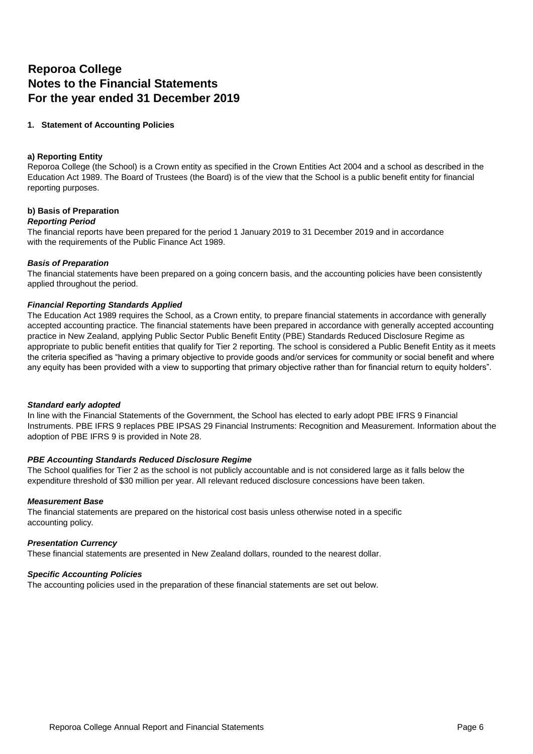# **Reporoa College Notes to the Financial Statements For the year ended 31 December 2019**

# **1. Statement of Accounting Policies**

#### **a) Reporting Entity**

Reporoa College (the School) is a Crown entity as specified in the Crown Entities Act 2004 and a school as described in the Education Act 1989. The Board of Trustees (the Board) is of the view that the School is a public benefit entity for financial reporting purposes.

# **b) Basis of Preparation**

#### *Reporting Period*

The financial reports have been prepared for the period 1 January 2019 to 31 December 2019 and in accordance with the requirements of the Public Finance Act 1989.

## *Basis of Preparation*

The financial statements have been prepared on a going concern basis, and the accounting policies have been consistently applied throughout the period.

#### *Financial Reporting Standards Applied*

The Education Act 1989 requires the School, as a Crown entity, to prepare financial statements in accordance with generally accepted accounting practice. The financial statements have been prepared in accordance with generally accepted accounting practice in New Zealand, applying Public Sector Public Benefit Entity (PBE) Standards Reduced Disclosure Regime as appropriate to public benefit entities that qualify for Tier 2 reporting. The school is considered a Public Benefit Entity as it meets the criteria specified as "having a primary objective to provide goods and/or services for community or social benefit and where any equity has been provided with a view to supporting that primary objective rather than for financial return to equity holders".

#### *Standard early adopted*

In line with the Financial Statements of the Government, the School has elected to early adopt PBE IFRS 9 Financial Instruments. PBE IFRS 9 replaces PBE IPSAS 29 Financial Instruments: Recognition and Measurement. Information about the adoption of PBE IFRS 9 is provided in Note 28.

## *PBE Accounting Standards Reduced Disclosure Regime*

The School qualifies for Tier 2 as the school is not publicly accountable and is not considered large as it falls below the expenditure threshold of \$30 million per year. All relevant reduced disclosure concessions have been taken.

#### *Measurement Base*

The financial statements are prepared on the historical cost basis unless otherwise noted in a specific accounting policy.

## *Presentation Currency*

These financial statements are presented in New Zealand dollars, rounded to the nearest dollar.

#### *Specific Accounting Policies*

The accounting policies used in the preparation of these financial statements are set out below.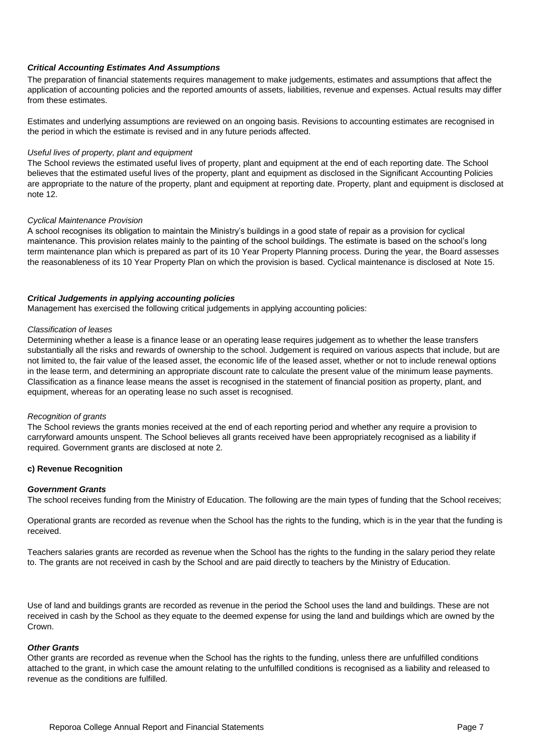## *Critical Accounting Estimates And Assumptions*

The preparation of financial statements requires management to make judgements, estimates and assumptions that affect the application of accounting policies and the reported amounts of assets, liabilities, revenue and expenses. Actual results may differ from these estimates.

Estimates and underlying assumptions are reviewed on an ongoing basis. Revisions to accounting estimates are recognised in the period in which the estimate is revised and in any future periods affected.

#### *Useful lives of property, plant and equipment*

The School reviews the estimated useful lives of property, plant and equipment at the end of each reporting date. The School believes that the estimated useful lives of the property, plant and equipment as disclosed in the Significant Accounting Policies are appropriate to the nature of the property, plant and equipment at reporting date. Property, plant and equipment is disclosed at note 12.

#### *Cyclical Maintenance Provision*

A school recognises its obligation to maintain the Ministry's buildings in a good state of repair as a provision for cyclical maintenance. This provision relates mainly to the painting of the school buildings. The estimate is based on the school's long term maintenance plan which is prepared as part of its 10 Year Property Planning process. During the year, the Board assesses the reasonableness of its 10 Year Property Plan on which the provision is based. Cyclical maintenance is disclosed at Note 15.

#### *Critical Judgements in applying accounting policies*

Management has exercised the following critical judgements in applying accounting policies:

#### *Classification of leases*

Determining whether a lease is a finance lease or an operating lease requires judgement as to whether the lease transfers substantially all the risks and rewards of ownership to the school. Judgement is required on various aspects that include, but are not limited to, the fair value of the leased asset, the economic life of the leased asset, whether or not to include renewal options in the lease term, and determining an appropriate discount rate to calculate the present value of the minimum lease payments. Classification as a finance lease means the asset is recognised in the statement of financial position as property, plant, and equipment, whereas for an operating lease no such asset is recognised.

#### *Recognition of grants*

The School reviews the grants monies received at the end of each reporting period and whether any require a provision to carryforward amounts unspent. The School believes all grants received have been appropriately recognised as a liability if required. Government grants are disclosed at note 2.

# **c) Revenue Recognition**

#### *Government Grants*

The school receives funding from the Ministry of Education. The following are the main types of funding that the School receives;

Operational grants are recorded as revenue when the School has the rights to the funding, which is in the year that the funding is received.

Teachers salaries grants are recorded as revenue when the School has the rights to the funding in the salary period they relate to. The grants are not received in cash by the School and are paid directly to teachers by the Ministry of Education.

Use of land and buildings grants are recorded as revenue in the period the School uses the land and buildings. These are not received in cash by the School as they equate to the deemed expense for using the land and buildings which are owned by the Crown.

#### *Other Grants*

Other grants are recorded as revenue when the School has the rights to the funding, unless there are unfulfilled conditions attached to the grant, in which case the amount relating to the unfulfilled conditions is recognised as a liability and released to revenue as the conditions are fulfilled.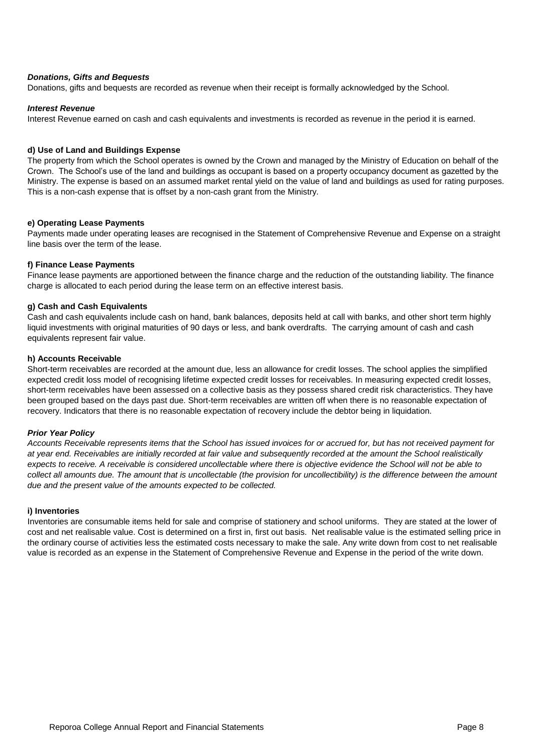#### *Donations, Gifts and Bequests*

Donations, gifts and bequests are recorded as revenue when their receipt is formally acknowledged by the School.

#### *Interest Revenue*

Interest Revenue earned on cash and cash equivalents and investments is recorded as revenue in the period it is earned.

#### **d) Use of Land and Buildings Expense**

The property from which the School operates is owned by the Crown and managed by the Ministry of Education on behalf of the Crown. The School's use of the land and buildings as occupant is based on a property occupancy document as gazetted by the Ministry. The expense is based on an assumed market rental yield on the value of land and buildings as used for rating purposes. This is a non-cash expense that is offset by a non-cash grant from the Ministry.

#### **e) Operating Lease Payments**

Payments made under operating leases are recognised in the Statement of Comprehensive Revenue and Expense on a straight line basis over the term of the lease.

#### **f) Finance Lease Payments**

Finance lease payments are apportioned between the finance charge and the reduction of the outstanding liability. The finance charge is allocated to each period during the lease term on an effective interest basis.

#### **g) Cash and Cash Equivalents**

Cash and cash equivalents include cash on hand, bank balances, deposits held at call with banks, and other short term highly liquid investments with original maturities of 90 days or less, and bank overdrafts. The carrying amount of cash and cash equivalents represent fair value.

#### **h) Accounts Receivable**

Short-term receivables are recorded at the amount due, less an allowance for credit losses. The school applies the simplified expected credit loss model of recognising lifetime expected credit losses for receivables. In measuring expected credit losses, short-term receivables have been assessed on a collective basis as they possess shared credit risk characteristics. They have been grouped based on the days past due. Short-term receivables are written off when there is no reasonable expectation of recovery. Indicators that there is no reasonable expectation of recovery include the debtor being in liquidation.

## *Prior Year Policy*

*Accounts Receivable represents items that the School has issued invoices for or accrued for, but has not received payment for at year end. Receivables are initially recorded at fair value and subsequently recorded at the amount the School realistically expects to receive. A receivable is considered uncollectable where there is objective evidence the School will not be able to collect all amounts due. The amount that is uncollectable (the provision for uncollectibility) is the difference between the amount due and the present value of the amounts expected to be collected.* 

## **i) Inventories**

Inventories are consumable items held for sale and comprise of stationery and school uniforms. They are stated at the lower of cost and net realisable value. Cost is determined on a first in, first out basis. Net realisable value is the estimated selling price in the ordinary course of activities less the estimated costs necessary to make the sale. Any write down from cost to net realisable value is recorded as an expense in the Statement of Comprehensive Revenue and Expense in the period of the write down.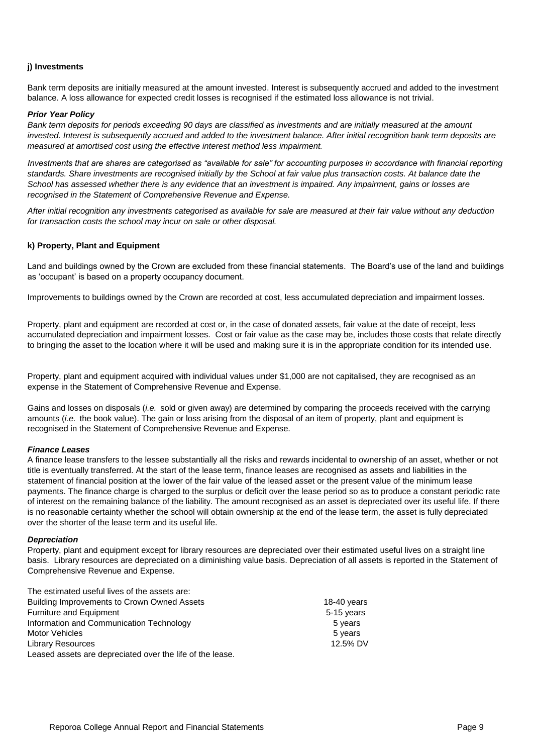# **j) Investments**

Bank term deposits are initially measured at the amount invested. Interest is subsequently accrued and added to the investment balance. A loss allowance for expected credit losses is recognised if the estimated loss allowance is not trivial.

#### *Prior Year Policy*

*Bank term deposits for periods exceeding 90 days are classified as investments and are initially measured at the amount invested. Interest is subsequently accrued and added to the investment balance. After initial recognition bank term deposits are measured at amortised cost using the effective interest method less impairment.*

*Investments that are shares are categorised as "available for sale" for accounting purposes in accordance with financial reporting standards. Share investments are recognised initially by the School at fair value plus transaction costs. At balance date the School has assessed whether there is any evidence that an investment is impaired. Any impairment, gains or losses are recognised in the Statement of Comprehensive Revenue and Expense.*

*After initial recognition any investments categorised as available for sale are measured at their fair value without any deduction for transaction costs the school may incur on sale or other disposal.*

#### **k) Property, Plant and Equipment**

Land and buildings owned by the Crown are excluded from these financial statements. The Board's use of the land and buildings as 'occupant' is based on a property occupancy document.

Improvements to buildings owned by the Crown are recorded at cost, less accumulated depreciation and impairment losses.

Property, plant and equipment are recorded at cost or, in the case of donated assets, fair value at the date of receipt, less accumulated depreciation and impairment losses. Cost or fair value as the case may be, includes those costs that relate directly to bringing the asset to the location where it will be used and making sure it is in the appropriate condition for its intended use.

Property, plant and equipment acquired with individual values under \$1,000 are not capitalised, they are recognised as an expense in the Statement of Comprehensive Revenue and Expense.

Gains and losses on disposals (*i.e.* sold or given away) are determined by comparing the proceeds received with the carrying amounts (*i.e.* the book value). The gain or loss arising from the disposal of an item of property, plant and equipment is recognised in the Statement of Comprehensive Revenue and Expense.

#### *Finance Leases*

A finance lease transfers to the lessee substantially all the risks and rewards incidental to ownership of an asset, whether or not title is eventually transferred. At the start of the lease term, finance leases are recognised as assets and liabilities in the statement of financial position at the lower of the fair value of the leased asset or the present value of the minimum lease payments. The finance charge is charged to the surplus or deficit over the lease period so as to produce a constant periodic rate of interest on the remaining balance of the liability. The amount recognised as an asset is depreciated over its useful life. If there is no reasonable certainty whether the school will obtain ownership at the end of the lease term, the asset is fully depreciated over the shorter of the lease term and its useful life.

#### *Depreciation*

Property, plant and equipment except for library resources are depreciated over their estimated useful lives on a straight line basis. Library resources are depreciated on a diminishing value basis. Depreciation of all assets is reported in the Statement of Comprehensive Revenue and Expense.

| The estimated useful lives of the assets are:             |             |
|-----------------------------------------------------------|-------------|
| Building Improvements to Crown Owned Assets               | 18-40 years |
| <b>Furniture and Equipment</b>                            | 5-15 years  |
| Information and Communication Technology                  | 5 years     |
| <b>Motor Vehicles</b>                                     | 5 years     |
| <b>Library Resources</b>                                  | 12.5% DV    |
| Leased assets are depreciated over the life of the lease. |             |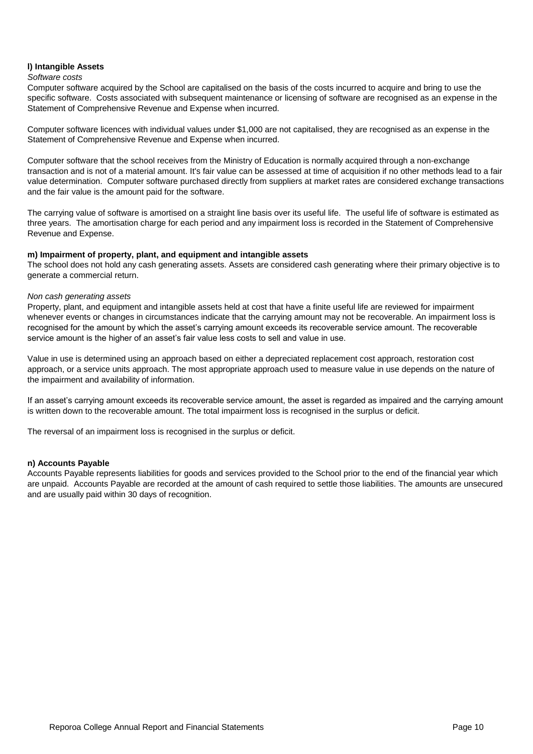# **l) Intangible Assets**

#### *Software costs*

Computer software acquired by the School are capitalised on the basis of the costs incurred to acquire and bring to use the specific software. Costs associated with subsequent maintenance or licensing of software are recognised as an expense in the Statement of Comprehensive Revenue and Expense when incurred.

Computer software licences with individual values under \$1,000 are not capitalised, they are recognised as an expense in the Statement of Comprehensive Revenue and Expense when incurred.

Computer software that the school receives from the Ministry of Education is normally acquired through a non-exchange transaction and is not of a material amount. It's fair value can be assessed at time of acquisition if no other methods lead to a fair value determination. Computer software purchased directly from suppliers at market rates are considered exchange transactions and the fair value is the amount paid for the software.

The carrying value of software is amortised on a straight line basis over its useful life. The useful life of software is estimated as three years. The amortisation charge for each period and any impairment loss is recorded in the Statement of Comprehensive Revenue and Expense.

## **m) Impairment of property, plant, and equipment and intangible assets**

The school does not hold any cash generating assets. Assets are considered cash generating where their primary objective is to generate a commercial return.

#### *Non cash generating assets*

Property, plant, and equipment and intangible assets held at cost that have a finite useful life are reviewed for impairment whenever events or changes in circumstances indicate that the carrying amount may not be recoverable. An impairment loss is recognised for the amount by which the asset's carrying amount exceeds its recoverable service amount. The recoverable service amount is the higher of an asset's fair value less costs to sell and value in use.

Value in use is determined using an approach based on either a depreciated replacement cost approach, restoration cost approach, or a service units approach. The most appropriate approach used to measure value in use depends on the nature of the impairment and availability of information.

If an asset's carrying amount exceeds its recoverable service amount, the asset is regarded as impaired and the carrying amount is written down to the recoverable amount. The total impairment loss is recognised in the surplus or deficit.

The reversal of an impairment loss is recognised in the surplus or deficit.

## **n) Accounts Payable**

Accounts Payable represents liabilities for goods and services provided to the School prior to the end of the financial year which are unpaid. Accounts Payable are recorded at the amount of cash required to settle those liabilities. The amounts are unsecured and are usually paid within 30 days of recognition.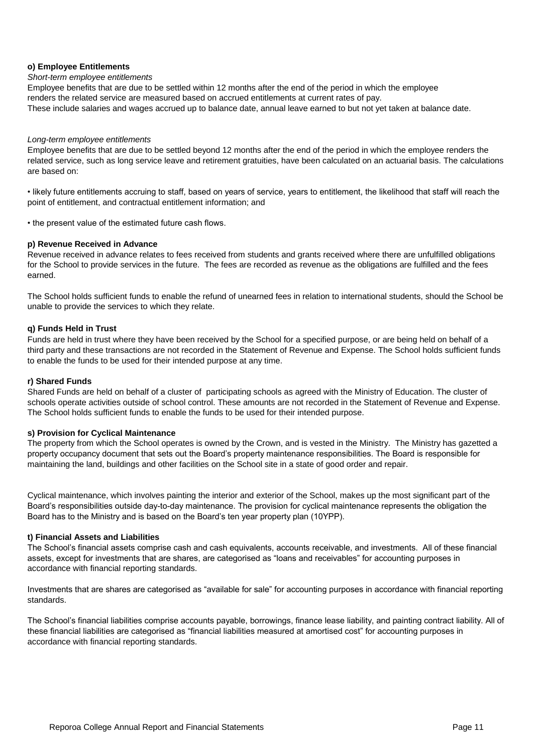## **o) Employee Entitlements**

#### *Short-term employee entitlements*

Employee benefits that are due to be settled within 12 months after the end of the period in which the employee renders the related service are measured based on accrued entitlements at current rates of pay. These include salaries and wages accrued up to balance date, annual leave earned to but not yet taken at balance date.

#### *Long-term employee entitlements*

Employee benefits that are due to be settled beyond 12 months after the end of the period in which the employee renders the related service, such as long service leave and retirement gratuities, have been calculated on an actuarial basis. The calculations are based on:

• likely future entitlements accruing to staff, based on years of service, years to entitlement, the likelihood that staff will reach the point of entitlement, and contractual entitlement information; and

• the present value of the estimated future cash flows.

#### **p) Revenue Received in Advance**

Revenue received in advance relates to fees received from students and grants received where there are unfulfilled obligations for the School to provide services in the future. The fees are recorded as revenue as the obligations are fulfilled and the fees earned.

The School holds sufficient funds to enable the refund of unearned fees in relation to international students, should the School be unable to provide the services to which they relate.

#### **q) Funds Held in Trust**

Funds are held in trust where they have been received by the School for a specified purpose, or are being held on behalf of a third party and these transactions are not recorded in the Statement of Revenue and Expense. The School holds sufficient funds to enable the funds to be used for their intended purpose at any time.

#### **r) Shared Funds**

Shared Funds are held on behalf of a cluster of participating schools as agreed with the Ministry of Education. The cluster of schools operate activities outside of school control. These amounts are not recorded in the Statement of Revenue and Expense. The School holds sufficient funds to enable the funds to be used for their intended purpose.

#### **s) Provision for Cyclical Maintenance**

The property from which the School operates is owned by the Crown, and is vested in the Ministry. The Ministry has gazetted a property occupancy document that sets out the Board's property maintenance responsibilities. The Board is responsible for maintaining the land, buildings and other facilities on the School site in a state of good order and repair.

Cyclical maintenance, which involves painting the interior and exterior of the School, makes up the most significant part of the Board's responsibilities outside day-to-day maintenance. The provision for cyclical maintenance represents the obligation the Board has to the Ministry and is based on the Board's ten year property plan (10YPP).

## **t) Financial Assets and Liabilities**

The School's financial assets comprise cash and cash equivalents, accounts receivable, and investments. All of these financial assets, except for investments that are shares, are categorised as "loans and receivables" for accounting purposes in accordance with financial reporting standards.

Investments that are shares are categorised as "available for sale" for accounting purposes in accordance with financial reporting standards.

The School's financial liabilities comprise accounts payable, borrowings, finance lease liability, and painting contract liability. All of these financial liabilities are categorised as "financial liabilities measured at amortised cost" for accounting purposes in accordance with financial reporting standards.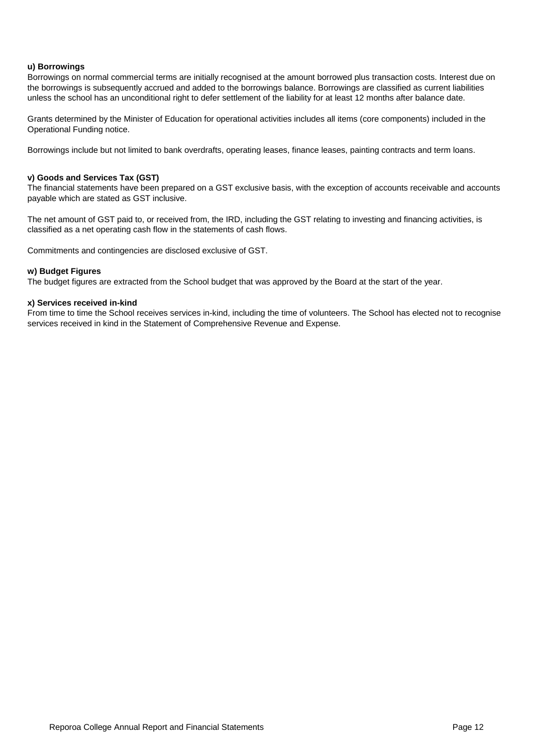## **u) Borrowings**

Borrowings on normal commercial terms are initially recognised at the amount borrowed plus transaction costs. Interest due on the borrowings is subsequently accrued and added to the borrowings balance. Borrowings are classified as current liabilities unless the school has an unconditional right to defer settlement of the liability for at least 12 months after balance date.

Grants determined by the Minister of Education for operational activities includes all items (core components) included in the Operational Funding notice.

Borrowings include but not limited to bank overdrafts, operating leases, finance leases, painting contracts and term loans.

#### **v) Goods and Services Tax (GST)**

The financial statements have been prepared on a GST exclusive basis, with the exception of accounts receivable and accounts payable which are stated as GST inclusive.

The net amount of GST paid to, or received from, the IRD, including the GST relating to investing and financing activities, is classified as a net operating cash flow in the statements of cash flows.

Commitments and contingencies are disclosed exclusive of GST.

#### **w) Budget Figures**

The budget figures are extracted from the School budget that was approved by the Board at the start of the year.

#### **x) Services received in-kind**

From time to time the School receives services in-kind, including the time of volunteers. The School has elected not to recognise services received in kind in the Statement of Comprehensive Revenue and Expense.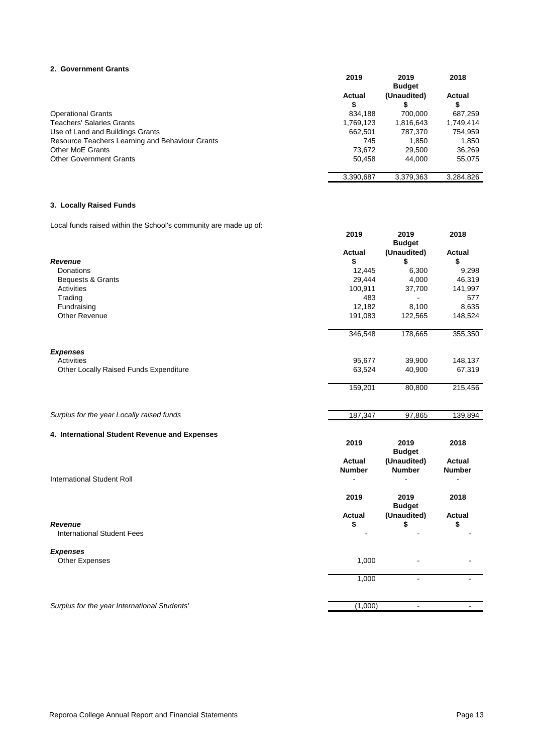#### **2. Government Grants**

|                                                 | 2019      | 2019<br><b>Budget</b> | 2018      |
|-------------------------------------------------|-----------|-----------------------|-----------|
|                                                 | Actual    | (Unaudited)           | Actual    |
|                                                 | S         |                       | \$        |
| <b>Operational Grants</b>                       | 834,188   | 700.000               | 687,259   |
| <b>Teachers' Salaries Grants</b>                | 1,769,123 | 1,816,643             | 1,749,414 |
| Use of Land and Buildings Grants                | 662.501   | 787.370               | 754,959   |
| Resource Teachers Learning and Behaviour Grants | 745       | 1.850                 | 1.850     |
| Other MoE Grants                                | 73.672    | 29.500                | 36,269    |
| <b>Other Government Grants</b>                  | 50.458    | 44.000                | 55,075    |
|                                                 | 3,390,687 | 3,379,363             | 3,284,826 |

# **3. Locally Raised Funds**

Local funds raised within the School's community are made up of:

|                                               |                | <b>Budget</b>  |                |
|-----------------------------------------------|----------------|----------------|----------------|
|                                               | <b>Actual</b>  | (Unaudited)    | <b>Actual</b>  |
| Revenue                                       | \$             | \$             | \$             |
| Donations                                     | 12,445         | 6,300          | 9,298          |
| Bequests & Grants                             | 29,444         | 4,000          | 46,319         |
| Activities                                    | 100,911        | 37,700         | 141,997        |
| Trading                                       | 483            |                | 577            |
| Fundraising                                   | 12,182         | 8,100          | 8,635          |
| <b>Other Revenue</b>                          | 191,083        | 122,565        | 148,524        |
|                                               |                |                |                |
|                                               | 346,548        | 178,665        | 355,350        |
|                                               |                |                |                |
| <b>Expenses</b>                               |                |                |                |
| Activities                                    | 95,677         | 39,900         | 148,137        |
| Other Locally Raised Funds Expenditure        | 63,524         | 40,900         | 67,319         |
|                                               |                |                |                |
|                                               | 159,201        | 80,800         | 215,456        |
|                                               |                |                |                |
| Surplus for the year Locally raised funds     | 187,347        | 97,865         | 139,894        |
|                                               |                |                |                |
| 4. International Student Revenue and Expenses |                |                |                |
|                                               | 2019           | 2019           | 2018           |
|                                               |                | <b>Budget</b>  |                |
|                                               | <b>Actual</b>  | (Unaudited)    | <b>Actual</b>  |
|                                               | <b>Number</b>  | <b>Number</b>  | <b>Number</b>  |
| <b>International Student Roll</b>             | $\blacksquare$ |                | $\overline{a}$ |
|                                               |                |                |                |
|                                               | 2019           | 2019           | 2018           |
|                                               |                | <b>Budget</b>  |                |
|                                               | <b>Actual</b>  | (Unaudited)    | <b>Actual</b>  |
| <b>Revenue</b>                                | \$             | \$             | \$             |
| <b>International Student Fees</b>             |                |                |                |
|                                               |                |                |                |
| <b>Expenses</b>                               |                |                |                |
| <b>Other Expenses</b>                         | 1,000          |                |                |
|                                               |                |                |                |
|                                               | 1,000          | $\blacksquare$ |                |
|                                               |                |                |                |

**Surplus for the year International Students'** (1,000) and the students' control of the students' (1,000)

Reporoa College Annual Report and Financial Statements **Page 13** Annual Statements Page 13

**2019 2019 2018**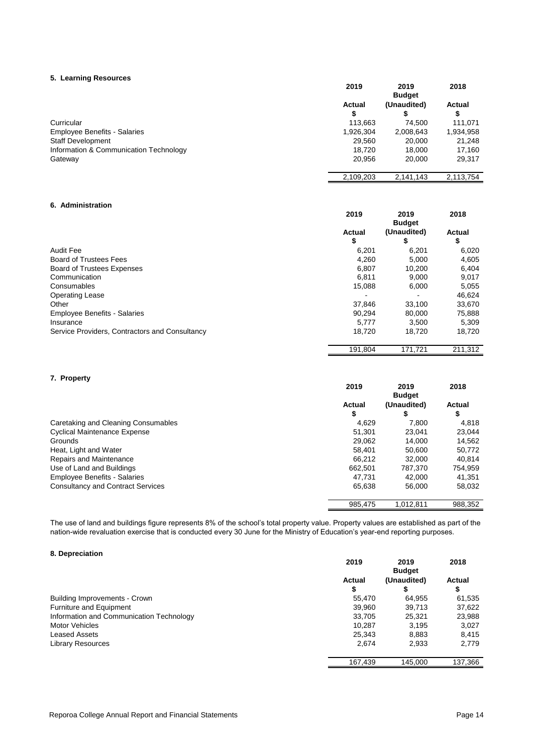#### **5. Learning Resources**

|                                        | 2019                | 2019<br><b>Budget</b> | 2018               |
|----------------------------------------|---------------------|-----------------------|--------------------|
|                                        | <b>Actual</b><br>\$ | (Unaudited)           | <b>Actual</b><br>⊕ |
| Curricular                             | 113.663             | 74.500                | 111,071            |
| <b>Employee Benefits - Salaries</b>    | 1,926,304           | 2,008,643             | 1,934,958          |
| <b>Staff Development</b>               | 29,560              | 20,000                | 21,248             |
| Information & Communication Technology | 18.720              | 18,000                | 17,160             |
| Gateway                                | 20,956              | 20,000                | 29,317             |
|                                        | 2,109,203           | 2,141,143             | 2.113.754          |

#### **6. Administration**

|                                                | 2019                     | 2019<br><b>Budget</b> | 2018          |
|------------------------------------------------|--------------------------|-----------------------|---------------|
|                                                | <b>Actual</b>            | (Unaudited)           | <b>Actual</b> |
|                                                | \$                       |                       | \$            |
| <b>Audit Fee</b>                               | 6,201                    | 6,201                 | 6,020         |
| <b>Board of Trustees Fees</b>                  | 4,260                    | 5,000                 | 4,605         |
| <b>Board of Trustees Expenses</b>              | 6.807                    | 10.200                | 6.404         |
| Communication                                  | 6.811                    | 9.000                 | 9,017         |
| Consumables                                    | 15,088                   | 6,000                 | 5,055         |
| <b>Operating Lease</b>                         | $\overline{\phantom{0}}$ |                       | 46.624        |
| Other                                          | 37.846                   | 33.100                | 33,670        |
| <b>Employee Benefits - Salaries</b>            | 90,294                   | 80,000                | 75,888        |
| Insurance                                      | 5.777                    | 3,500                 | 5,309         |
| Service Providers, Contractors and Consultancy | 18.720                   | 18.720                | 18,720        |
|                                                | 191,804                  | 171,721               | 211,312       |

#### **7. Property 2019 2019 2018 Actual Budget (Unaudited) Actual \$ \$ \$** Caretaking and Cleaning Consumables and Cleaning Consumables and Cleaning Consumables and Cleaning Consumables<br>Cyclical Maintenance Expense and Cleaning Consumer 23,044 123,044 23,044 Cyclical Maintenance Expense 51,301 23,041 23,044<br>
Grounds 14,562 51,301 23,044 23,044<br>
Strounds 29,062 14,000 14,562 Grounds 29,062 14,000 14,562 Heat, Light and Water 58,401 50,600 50,772 Repairs and Maintenance **66,212** 32,000 40,814<br>
Use of Land and Buildings **66,212** 32,000 40,814<br>
Use of Land and Buildings Use of Land and Buildings Employee Benefits - Salaries 47,731 42,000 41,351 47,731 42,000 41,351 47,731 42,000 41,351 65.638 47,731 42,000 41,351 65.638 56.000 41,351 65.638 56.000 58.032 Consultancy and Contract Services 65,638 56,000 58,000 58,000 58,000 58,000 58,000 58,000 58,000 58,000 58,000 985,475 1,012,811 988,352

The use of land and buildings figure represents 8% of the school's total property value. Property values are established as part of the nation-wide revaluation exercise that is conducted every 30 June for the Ministry of Education's year-end reporting purposes.

| 8. Depreciation                          |               |                       |               |
|------------------------------------------|---------------|-----------------------|---------------|
|                                          | 2019          | 2019<br><b>Budget</b> | 2018          |
|                                          | <b>Actual</b> | (Unaudited)           | <b>Actual</b> |
|                                          | \$            | \$                    | \$            |
| Building Improvements - Crown            | 55.470        | 64,955                | 61,535        |
| Furniture and Equipment                  | 39,960        | 39,713                | 37,622        |
| Information and Communication Technology | 33,705        | 25,321                | 23,988        |
| <b>Motor Vehicles</b>                    | 10,287        | 3,195                 | 3,027         |
| <b>Leased Assets</b>                     | 25,343        | 8,883                 | 8,415         |
| <b>Library Resources</b>                 | 2,674         | 2.933                 | 2.779         |
|                                          | 167,439       | 145.000               | 137.366       |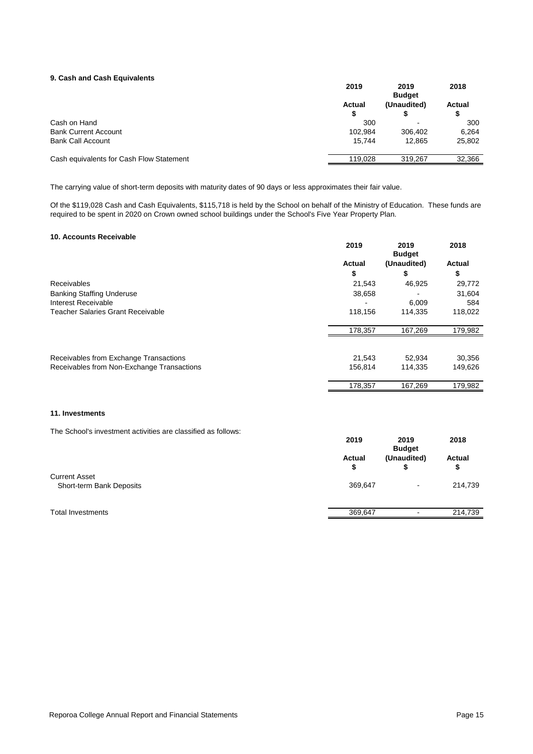#### **9. Cash and Cash Equivalents**

|                                          | 2019          | 2019<br><b>Budget</b>    | 2018          |
|------------------------------------------|---------------|--------------------------|---------------|
|                                          | <b>Actual</b> | (Unaudited)              | <b>Actual</b> |
|                                          | \$            |                          | \$            |
| Cash on Hand                             | 300           | $\overline{\phantom{0}}$ | 300           |
| <b>Bank Current Account</b>              | 102.984       | 306.402                  | 6,264         |
| <b>Bank Call Account</b>                 | 15.744        | 12.865                   | 25,802        |
| Cash equivalents for Cash Flow Statement | 119.028       | 319.267                  | 32,366        |
|                                          |               |                          |               |

The carrying value of short-term deposits with maturity dates of 90 days or less approximates their fair value.

Of the \$119,028 Cash and Cash Equivalents, \$115,718 is held by the School on behalf of the Ministry of Education. These funds are required to be spent in 2020 on Crown owned school buildings under the School's Five Year Property Plan.

#### **10. Accounts Receivable**

|                                            | 2019          | 2019<br><b>Budget</b> | 2018          |
|--------------------------------------------|---------------|-----------------------|---------------|
|                                            | <b>Actual</b> | (Unaudited)           | <b>Actual</b> |
|                                            | \$            | S                     | \$            |
| Receivables                                | 21,543        | 46,925                | 29,772        |
| <b>Banking Staffing Underuse</b>           | 38,658        |                       | 31,604        |
| Interest Receivable                        |               | 6.009                 | 584           |
| Teacher Salaries Grant Receivable          | 118,156       | 114.335               | 118,022       |
|                                            | 178.357       | 167,269               | 179,982       |
| Receivables from Exchange Transactions     | 21,543        | 52,934                | 30,356        |
| Receivables from Non-Exchange Transactions | 156,814       | 114.335               | 149,626       |
|                                            | 178,357       | 167.269               | 179,982       |

#### **11. Investments**

The School's investment activities are classified as follows:

|                                                  | 2019         | 2019<br><b>Budget</b>    | 2018         |
|--------------------------------------------------|--------------|--------------------------|--------------|
|                                                  | Actual<br>\$ | (Unaudited)              | Actual<br>\$ |
| <b>Current Asset</b><br>Short-term Bank Deposits | 369,647      | $\overline{\phantom{a}}$ | 214,739      |
| <b>Total Investments</b>                         | 369,647      | $\blacksquare$           | 214,739      |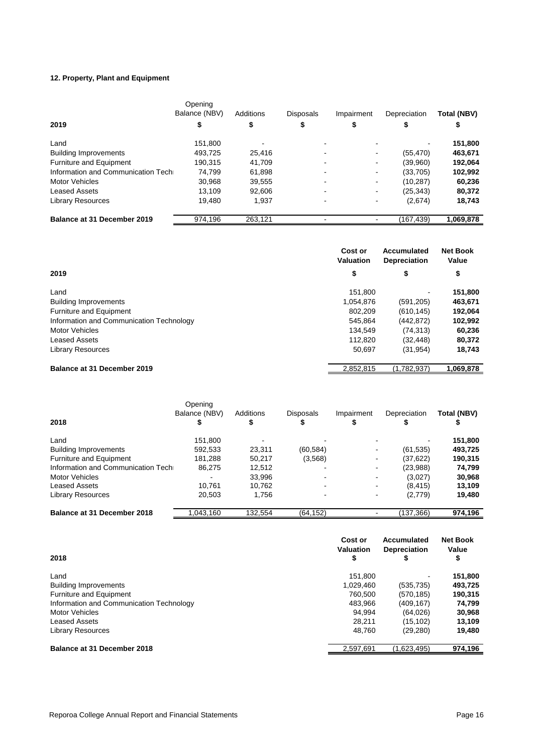# **12. Property, Plant and Equipment**

|                                    | Opening<br>Balance (NBV) | Additions | <b>Disposals</b> | Impairment | Depreciation | Total (NBV) |
|------------------------------------|--------------------------|-----------|------------------|------------|--------------|-------------|
| 2019                               | \$                       | \$        |                  |            |              | \$          |
| Land                               | 151.800                  |           |                  |            |              | 151,800     |
| <b>Building Improvements</b>       | 493.725                  | 25.416    |                  |            | (55, 470)    | 463,671     |
| Furniture and Equipment            | 190,315                  | 41.709    |                  |            | (39,960)     | 192,064     |
| Information and Communication Tech | 74.799                   | 61,898    |                  |            | (33, 705)    | 102,992     |
| <b>Motor Vehicles</b>              | 30,968                   | 39,555    |                  |            | (10, 287)    | 60,236      |
| <b>Leased Assets</b>               | 13.109                   | 92.606    |                  |            | (25, 343)    | 80,372      |
| <b>Library Resources</b>           | 19.480                   | 1.937     |                  |            | (2,674)      | 18,743      |
| Balance at 31 December 2019        | 974.196                  | 263,121   |                  |            | (167, 439)   | 1,069,878   |

|                                          | Cost or<br>Valuation | Accumulated<br><b>Depreciation</b> | <b>Net Book</b><br>Value |
|------------------------------------------|----------------------|------------------------------------|--------------------------|
| 2019                                     | \$                   | \$                                 | \$                       |
| Land                                     | 151.800              |                                    | 151,800                  |
| <b>Building Improvements</b>             | 1,054,876            | (591, 205)                         | 463,671                  |
| Furniture and Equipment                  | 802,209              | (610.145)                          | 192,064                  |
| Information and Communication Technology | 545.864              | (442.872)                          | 102,992                  |
| <b>Motor Vehicles</b>                    | 134.549              | (74, 313)                          | 60,236                   |
| <b>Leased Assets</b>                     | 112.820              | (32, 448)                          | 80,372                   |
| <b>Library Resources</b>                 | 50,697               | (31, 954)                          | 18,743                   |
| Balance at 31 December 2019              | 2.852.815            | (1,782,937)                        | 1.069.878                |

| 2018                               | Opening<br>Balance (NBV) | Additions | <b>Disposals</b> | Impairment     | Depreciation | Total (NBV) |
|------------------------------------|--------------------------|-----------|------------------|----------------|--------------|-------------|
| Land                               | 151,800                  |           |                  |                |              | 151,800     |
| <b>Building Improvements</b>       | 592,533                  | 23,311    | (60, 584)        | ٠              | (61, 535)    | 493,725     |
| Furniture and Equipment            | 181,288                  | 50.217    | (3,568)          | $\blacksquare$ | (37, 622)    | 190,315     |
| Information and Communication Tech | 86.275                   | 12.512    |                  | ۰              | (23,988)     | 74,799      |
| <b>Motor Vehicles</b>              |                          | 33,996    |                  |                | (3,027)      | 30,968      |
| <b>Leased Assets</b>               | 10.761                   | 10.762    |                  | ۰              | (8, 415)     | 13,109      |
| <b>Library Resources</b>           | 20.503                   | 1.756     |                  | $\blacksquare$ | (2,779)      | 19,480      |
| Balance at 31 December 2018        | 1,043,160                | 132,554   | (64, 152)        |                | (137,366)    | 974,196     |

| 2018                                     | Cost or<br><b>Valuation</b><br>\$ | Accumulated<br><b>Depreciation</b><br>\$ | <b>Net Book</b><br>Value<br>\$ |
|------------------------------------------|-----------------------------------|------------------------------------------|--------------------------------|
|                                          |                                   |                                          |                                |
| Land                                     | 151.800                           |                                          | 151,800                        |
| <b>Building Improvements</b>             | 1,029,460                         | (535, 735)                               | 493.725                        |
| Furniture and Equipment                  | 760.500                           | (570.185)                                | 190,315                        |
| Information and Communication Technology | 483,966                           | (409,167)                                | 74,799                         |
| <b>Motor Vehicles</b>                    | 94.994                            | (64, 026)                                | 30,968                         |
| <b>Leased Assets</b>                     | 28.211                            | (15.102)                                 | 13.109                         |
| Library Resources                        | 48,760                            | (29, 280)                                | 19,480                         |
| Balance at 31 December 2018              | 2.597.691                         | (1,623,495)                              | 974,196                        |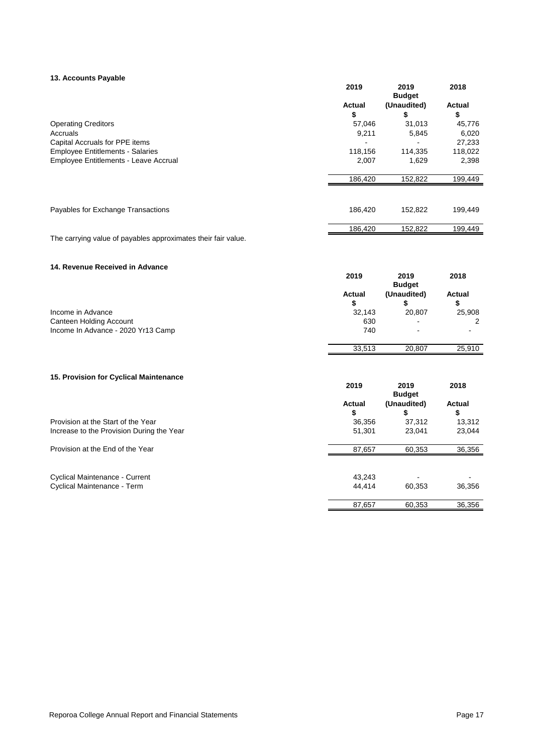#### **13. Accounts Payable**

|                                         | 2019          | 2019<br><b>Budget</b> | 2018          |
|-----------------------------------------|---------------|-----------------------|---------------|
|                                         | <b>Actual</b> | (Unaudited)           | <b>Actual</b> |
|                                         | \$            | \$                    | \$            |
| <b>Operating Creditors</b>              | 57,046        | 31,013                | 45,776        |
| Accruals                                | 9.211         | 5,845                 | 6,020         |
| Capital Accruals for PPE items          |               |                       | 27,233        |
| <b>Employee Entitlements - Salaries</b> | 118,156       | 114,335               | 118,022       |
| Employee Entitlements - Leave Accrual   | 2,007         | 1,629                 | 2,398         |
|                                         | 186,420       | 152,822               | 199,449       |
|                                         |               |                       |               |
| Payables for Exchange Transactions      | 186.420       | 152.822               | 199,449       |
|                                         | 186.420       | 152,822               | 199,449       |

The carrying value of payables approximates their fair value.

#### **14. Revenue Received in Advance**

|                                    | 2019          | 2019<br><b>Budget</b> | 2018   |
|------------------------------------|---------------|-----------------------|--------|
|                                    | <b>Actual</b> | (Unaudited)           | Actual |
|                                    | S             |                       |        |
| Income in Advance                  | 32.143        | 20,807                | 25,908 |
| Canteen Holding Account            | 630           | $\blacksquare$        |        |
| Income In Advance - 2020 Yr13 Camp | 740           | $\blacksquare$        |        |
|                                    | 33,513        | 20.807                | 25.910 |

#### **15. Provision for Cyclical Maintenance**

|                                           | 2019                | 2019<br><b>Budget</b> | 2018                |
|-------------------------------------------|---------------------|-----------------------|---------------------|
|                                           | <b>Actual</b><br>\$ | (Unaudited)<br>ъ      | <b>Actual</b><br>\$ |
| Provision at the Start of the Year        | 36,356              | 37.312                | 13,312              |
| Increase to the Provision During the Year | 51.301              | 23.041                | 23.044              |
| Provision at the End of the Year          | 87,657              | 60,353                | 36,356              |
| Cyclical Maintenance - Current            | 43.243              | $\blacksquare$        |                     |
| Cyclical Maintenance - Term               | 44.414              | 60.353                | 36,356              |
|                                           | 87,657              | 60.353                | 36.356              |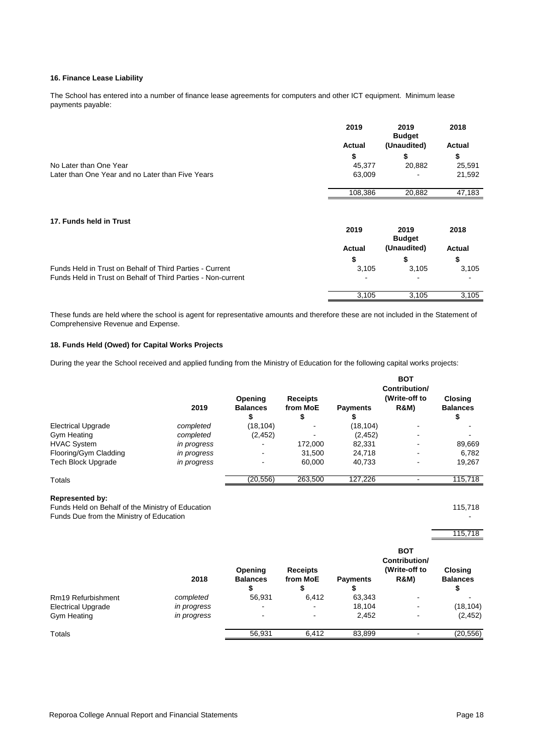#### **16. Finance Lease Liability**

The School has entered into a number of finance lease agreements for computers and other ICT equipment. Minimum lease payments payable:

|                                                              | 2019          | 2019<br><b>Budget</b> | 2018   |
|--------------------------------------------------------------|---------------|-----------------------|--------|
|                                                              | <b>Actual</b> | (Unaudited)           | Actual |
|                                                              | \$            | \$                    | \$     |
| No Later than One Year                                       | 45,377        | 20,882                | 25,591 |
| Later than One Year and no Later than Five Years             | 63,009        |                       | 21,592 |
|                                                              | 108,386       | 20,882                | 47,183 |
| 17. Funds held in Trust                                      | 2019          | 2019<br><b>Budget</b> | 2018   |
|                                                              | <b>Actual</b> | (Unaudited)           | Actual |
|                                                              |               |                       |        |
|                                                              | \$            | \$                    | \$     |
| Funds Held in Trust on Behalf of Third Parties - Current     | 3,105         | 3,105                 | 3,105  |
| Funds Held in Trust on Behalf of Third Parties - Non-current |               |                       |        |
|                                                              | 3,105         | 3,105                 | 3,105  |

These funds are held where the school is agent for representative amounts and therefore these are not included in the Statement of Comprehensive Revenue and Expense.

#### **18. Funds Held (Owed) for Capital Works Projects**

During the year the School received and applied funding from the Ministry of Education for the following capital works projects:

|                           | 2019        | <b>Receipts</b><br>Opening<br><b>Balances</b><br>from MoE |         | <b>Payments</b> | <b>BOT</b><br>Contribution/<br>(Write-off to<br><b>R&amp;M)</b> | <b>Closing</b><br><b>Balances</b> |
|---------------------------|-------------|-----------------------------------------------------------|---------|-----------------|-----------------------------------------------------------------|-----------------------------------|
|                           |             |                                                           | \$      |                 |                                                                 | Φ                                 |
| <b>Electrical Upgrade</b> | completed   | (18, 104)                                                 |         | (18,104)        |                                                                 |                                   |
| Gym Heating               | completed   | (2, 452)                                                  |         | (2, 452)        |                                                                 |                                   |
| <b>HVAC System</b>        | in progress |                                                           | 172,000 | 82,331          |                                                                 | 89,669                            |
| Flooring/Gym Cladding     | in progress |                                                           | 31.500  | 24,718          | $\,$                                                            | 6,782                             |
| <b>Tech Block Upgrade</b> | in progress |                                                           | 60.000  | 40,733          | $\overline{\phantom{0}}$                                        | 19,267                            |
| Totals                    |             | (20, 556)                                                 | 263.500 | 127.226         |                                                                 | 115.718                           |

#### **Represented by:**

Funds Held on Behalf of the Ministry of Education 115,718 and 115,718 Funds Due from the Ministry of Education -

115,718

|                           | 2018        | Opening<br><b>Balances</b><br>Φ | <b>Receipts</b><br>from MoE<br>Ð | <b>Payments</b> | <b>BOT</b><br>Contribution/<br>(Write-off to<br><b>R&amp;M)</b> | <b>Closing</b><br><b>Balances</b> |
|---------------------------|-------------|---------------------------------|----------------------------------|-----------------|-----------------------------------------------------------------|-----------------------------------|
| Rm19 Refurbishment        | completed   | 56.931                          | 6.412                            | 63,343          | $\blacksquare$                                                  |                                   |
| <b>Electrical Upgrade</b> | in progress | $\overline{\phantom{0}}$        | $\,$                             | 18,104          |                                                                 | (18, 104)                         |
| Gym Heating               | in progress | $\blacksquare$                  | $\blacksquare$                   | 2,452           |                                                                 | (2, 452)                          |
| Totals                    |             | 56,931                          | 6,412                            | 83,899          |                                                                 | (20, 556)                         |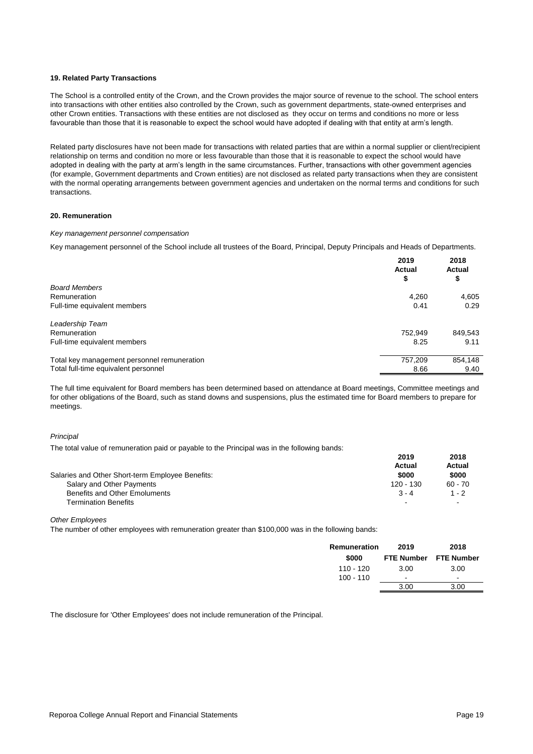#### **19. Related Party Transactions**

The School is a controlled entity of the Crown, and the Crown provides the major source of revenue to the school. The school enters into transactions with other entities also controlled by the Crown, such as government departments, state-owned enterprises and other Crown entities. Transactions with these entities are not disclosed as they occur on terms and conditions no more or less favourable than those that it is reasonable to expect the school would have adopted if dealing with that entity at arm's length.

Related party disclosures have not been made for transactions with related parties that are within a normal supplier or client/recipient relationship on terms and condition no more or less favourable than those that it is reasonable to expect the school would have adopted in dealing with the party at arm's length in the same circumstances. Further, transactions with other government agencies (for example, Government departments and Crown entities) are not disclosed as related party transactions when they are consistent with the normal operating arrangements between government agencies and undertaken on the normal terms and conditions for such transactions.

#### **20. Remuneration**

#### *Key management personnel compensation*

Key management personnel of the School include all trustees of the Board, Principal, Deputy Principals and Heads of Departments.

|                                             | 2019<br><b>Actual</b><br>\$ | 2018<br><b>Actual</b><br>\$ |
|---------------------------------------------|-----------------------------|-----------------------------|
| <b>Board Members</b>                        |                             |                             |
| Remuneration                                | 4,260                       | 4,605                       |
| Full-time equivalent members                | 0.41                        | 0.29                        |
| Leadership Team                             |                             |                             |
| Remuneration                                | 752.949                     | 849,543                     |
| Full-time equivalent members                | 8.25                        | 9.11                        |
| Total key management personnel remuneration | 757,209                     | 854,148                     |
| Total full-time equivalent personnel        | 8.66                        | 9.40                        |

The full time equivalent for Board members has been determined based on attendance at Board meetings, Committee meetings and for other obligations of the Board, such as stand downs and suspensions, plus the estimated time for Board members to prepare for meetings.

#### *Principal*

The total value of remuneration paid or payable to the Principal was in the following bands:

|                                                  | 20 I J      | 2010    |
|--------------------------------------------------|-------------|---------|
|                                                  | Actual      | Actual  |
| Salaries and Other Short-term Employee Benefits: | \$000       | \$000   |
| Salary and Other Payments                        | $120 - 130$ | 60 - 70 |
| Benefits and Other Emoluments                    | $3 - 4$     | $1 - 2$ |
| <b>Termination Benefits</b>                      |             | $\sim$  |

*Other Employees*

The number of other employees with remuneration greater than \$100,000 was in the following bands:

| Remuneration | 2019   | 2018                  |
|--------------|--------|-----------------------|
| \$000        |        | FTE Number FTE Number |
| 110 - 120    | 3.00   | 3.00                  |
| $100 - 110$  | $\sim$ | $\blacksquare$        |
|              | 3.00   | 3.00                  |
|              |        |                       |

The disclosure for 'Other Employees' does not include remuneration of the Principal.

**2019 2018**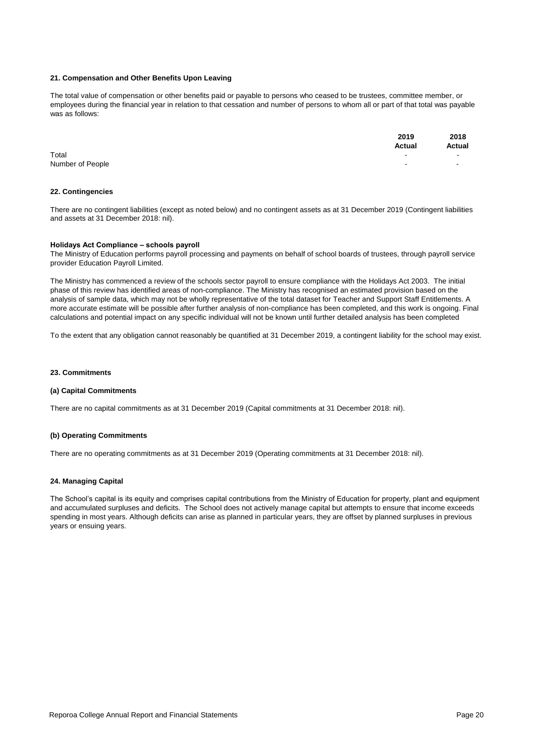#### **21. Compensation and Other Benefits Upon Leaving**

The total value of compensation or other benefits paid or payable to persons who ceased to be trustees, committee member, or employees during the financial year in relation to that cessation and number of persons to whom all or part of that total was payable was as follows:

|                  | 2019<br>Actual | 2018<br>Actual |
|------------------|----------------|----------------|
| Total            | $\sim$         | $\sim$         |
| Number of People | $\sim$         | $\sim$         |

#### **22. Contingencies**

There are no contingent liabilities (except as noted below) and no contingent assets as at 31 December 2019 (Contingent liabilities and assets at 31 December 2018: nil).

#### **Holidays Act Compliance – schools payroll**

The Ministry of Education performs payroll processing and payments on behalf of school boards of trustees, through payroll service provider Education Payroll Limited.

The Ministry has commenced a review of the schools sector payroll to ensure compliance with the Holidays Act 2003. The initial phase of this review has identified areas of non-compliance. The Ministry has recognised an estimated provision based on the analysis of sample data, which may not be wholly representative of the total dataset for Teacher and Support Staff Entitlements. A more accurate estimate will be possible after further analysis of non-compliance has been completed, and this work is ongoing. Final calculations and potential impact on any specific individual will not be known until further detailed analysis has been completed

To the extent that any obligation cannot reasonably be quantified at 31 December 2019, a contingent liability for the school may exist.

#### **23. Commitments**

#### **(a) Capital Commitments**

There are no capital commitments as at 31 December 2019 (Capital commitments at 31 December 2018: nil).

#### **(b) Operating Commitments**

There are no operating commitments as at 31 December 2019 (Operating commitments at 31 December 2018: nil).

#### **24. Managing Capital**

The School's capital is its equity and comprises capital contributions from the Ministry of Education for property, plant and equipment and accumulated surpluses and deficits. The School does not actively manage capital but attempts to ensure that income exceeds spending in most years. Although deficits can arise as planned in particular years, they are offset by planned surpluses in previous years or ensuing years.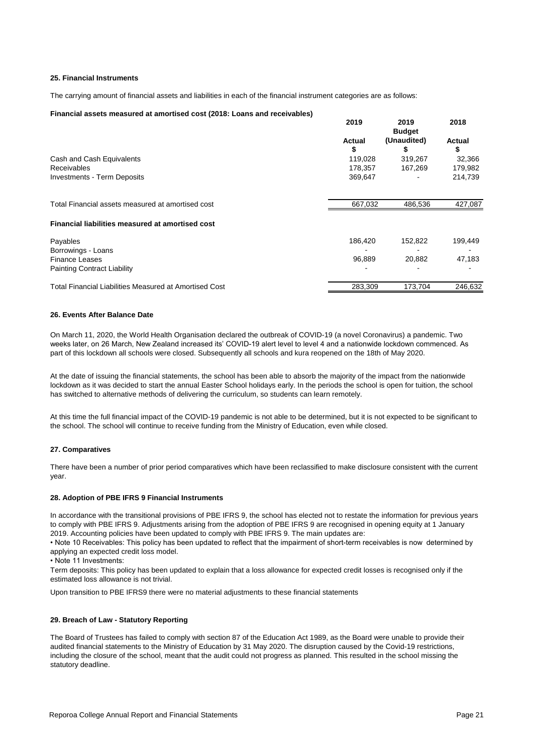#### **25. Financial Instruments**

The carrying amount of financial assets and liabilities in each of the financial instrument categories are as follows:

#### **Financial assets measured at amortised cost (2018: Loans and receivables)**

|                                                        | 2019    | 2019<br><b>Budget</b> | 2018    |
|--------------------------------------------------------|---------|-----------------------|---------|
|                                                        | Actual  | (Unaudited)           | Actual  |
|                                                        | \$      | S                     | \$      |
| Cash and Cash Equivalents                              | 119,028 | 319,267               | 32,366  |
| <b>Receivables</b>                                     | 178,357 | 167,269               | 179,982 |
| <b>Investments - Term Deposits</b>                     | 369,647 |                       | 214,739 |
| Total Financial assets measured at amortised cost      | 667,032 | 486,536               | 427,087 |
| Financial liabilities measured at amortised cost       |         |                       |         |
| Payables                                               | 186,420 | 152,822               | 199,449 |
| Borrowings - Loans                                     |         |                       |         |
| <b>Finance Leases</b>                                  | 96,889  | 20,882                | 47,183  |
| <b>Painting Contract Liability</b>                     |         |                       |         |
| Total Financial Liabilities Measured at Amortised Cost | 283,309 | 173,704               | 246,632 |

#### **26. Events After Balance Date**

On March 11, 2020, the World Health Organisation declared the outbreak of COVID-19 (a novel Coronavirus) a pandemic. Two weeks later, on 26 March, New Zealand increased its' COVID-19 alert level to level 4 and a nationwide lockdown commenced. As part of this lockdown all schools were closed. Subsequently all schools and kura reopened on the 18th of May 2020.

At the date of issuing the financial statements, the school has been able to absorb the majority of the impact from the nationwide lockdown as it was decided to start the annual Easter School holidays early. In the periods the school is open for tuition, the school has switched to alternative methods of delivering the curriculum, so students can learn remotely.

At this time the full financial impact of the COVID-19 pandemic is not able to be determined, but it is not expected to be significant to the school. The school will continue to receive funding from the Ministry of Education, even while closed.

#### **27. Comparatives**

There have been a number of prior period comparatives which have been reclassified to make disclosure consistent with the current year.

#### **28. Adoption of PBE IFRS 9 Financial Instruments**

In accordance with the transitional provisions of PBE IFRS 9, the school has elected not to restate the information for previous years to comply with PBE IFRS 9. Adjustments arising from the adoption of PBE IFRS 9 are recognised in opening equity at 1 January 2019. Accounting policies have been updated to comply with PBE IFRS 9. The main updates are:

• Note 10 Receivables: This policy has been updated to reflect that the impairment of short-term receivables is now determined by applying an expected credit loss model.

• Note 11 Investments:

Term deposits: This policy has been updated to explain that a loss allowance for expected credit losses is recognised only if the estimated loss allowance is not trivial.

Upon transition to PBE IFRS9 there were no material adjustments to these financial statements

#### **29. Breach of Law - Statutory Reporting**

The Board of Trustees has failed to comply with section 87 of the Education Act 1989, as the Board were unable to provide their audited financial statements to the Ministry of Education by 31 May 2020. The disruption caused by the Covid-19 restrictions, including the closure of the school, meant that the audit could not progress as planned. This resulted in the school missing the statutory deadline.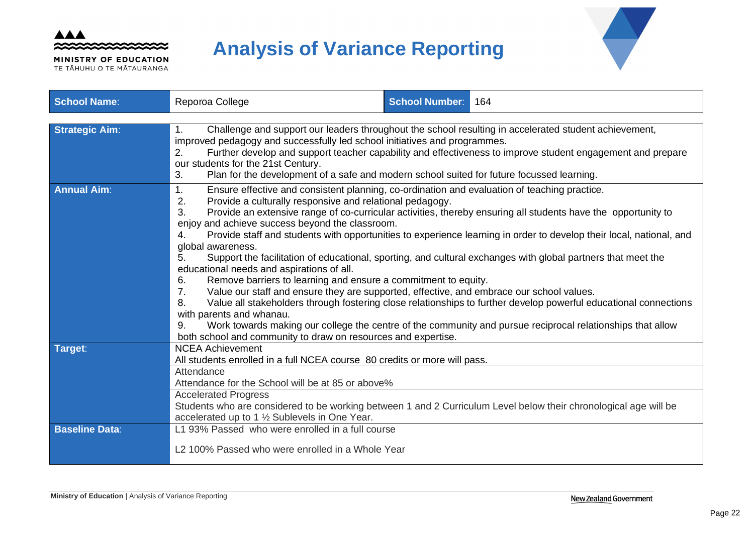

MINISTRY OF EDUCATION TE TĂHUHU O TE MĂTAURANGA

# **Analysis of Variance Reporting**



| <b>School Name:</b>              | Reporoa College                                                                                                                                                                                                                                                                                                                                                                                                                                                                                                                                                                                                                                                                                                                                                                                                                                                                                                                                                                                                                                                                                                                                                                                   | <b>School Number:</b> | 164 |  |  |  |  |  |  |  |
|----------------------------------|---------------------------------------------------------------------------------------------------------------------------------------------------------------------------------------------------------------------------------------------------------------------------------------------------------------------------------------------------------------------------------------------------------------------------------------------------------------------------------------------------------------------------------------------------------------------------------------------------------------------------------------------------------------------------------------------------------------------------------------------------------------------------------------------------------------------------------------------------------------------------------------------------------------------------------------------------------------------------------------------------------------------------------------------------------------------------------------------------------------------------------------------------------------------------------------------------|-----------------------|-----|--|--|--|--|--|--|--|
| <b>Strategic Aim:</b>            | Challenge and support our leaders throughout the school resulting in accelerated student achievement,<br>improved pedagogy and successfully led school initiatives and programmes.<br>Further develop and support teacher capability and effectiveness to improve student engagement and prepare<br>2.<br>our students for the 21st Century.<br>Plan for the development of a safe and modern school suited for future focussed learning.<br>3.                                                                                                                                                                                                                                                                                                                                                                                                                                                                                                                                                                                                                                                                                                                                                   |                       |     |  |  |  |  |  |  |  |
| <b>Annual Aim:</b>               | Ensure effective and consistent planning, co-ordination and evaluation of teaching practice.<br>1.<br>2.<br>Provide a culturally responsive and relational pedagogy.<br>3.<br>Provide an extensive range of co-curricular activities, thereby ensuring all students have the opportunity to<br>enjoy and achieve success beyond the classroom.<br>Provide staff and students with opportunities to experience learning in order to develop their local, national, and<br>$4_{\cdot}$<br>global awareness.<br>Support the facilitation of educational, sporting, and cultural exchanges with global partners that meet the<br>5.<br>educational needs and aspirations of all.<br>Remove barriers to learning and ensure a commitment to equity.<br>6.<br>7.<br>Value our staff and ensure they are supported, effective, and embrace our school values.<br>8.<br>Value all stakeholders through fostering close relationships to further develop powerful educational connections<br>with parents and whanau.<br>Work towards making our college the centre of the community and pursue reciprocal relationships that allow<br>9.<br>both school and community to draw on resources and expertise. |                       |     |  |  |  |  |  |  |  |
| Target:<br><b>Baseline Data:</b> | <b>NCEA Achievement</b><br>All students enrolled in a full NCEA course 80 credits or more will pass.<br>Attendance<br>Attendance for the School will be at 85 or above%<br><b>Accelerated Progress</b><br>Students who are considered to be working between 1 and 2 Curriculum Level below their chronological age will be<br>accelerated up to 1 1/2 Sublevels in One Year.<br>L1 93% Passed who were enrolled in a full course<br>L <sub>2</sub> 100% Passed who were enrolled in a Whole Year                                                                                                                                                                                                                                                                                                                                                                                                                                                                                                                                                                                                                                                                                                  |                       |     |  |  |  |  |  |  |  |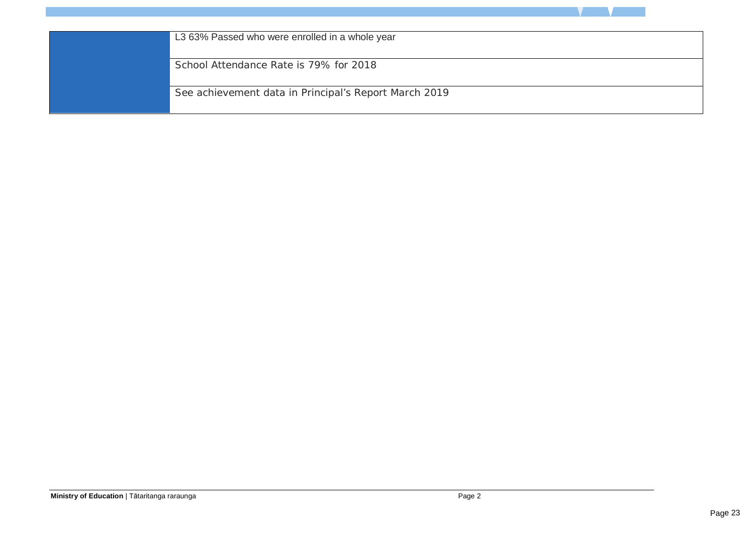| L3 63% Passed who were enrolled in a whole year       |
|-------------------------------------------------------|
| School Attendance Rate is 79% for 2018                |
| See achievement data in Principal's Report March 2019 |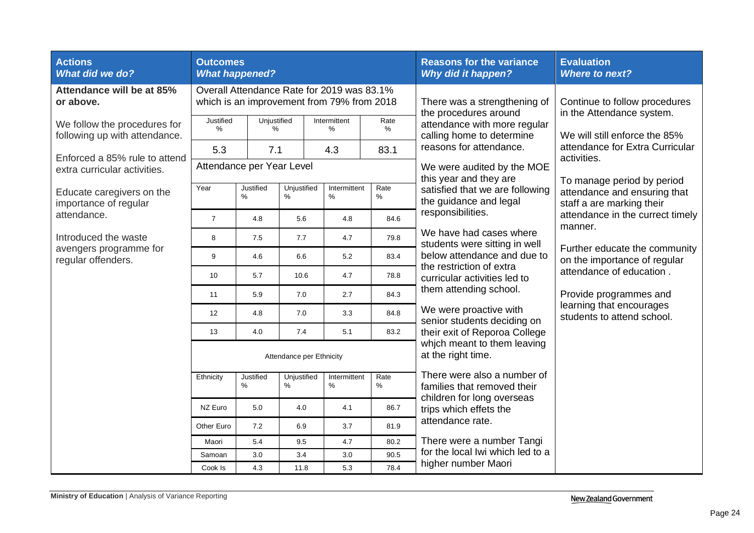| <b>Actions</b><br>What did we do?                             | <b>Outcomes</b><br><b>What happened?</b> |                     |                              |                                                                                          |                        | <b>Reasons for the variance</b><br><b>Why did it happen?</b>                                                                                                                                                                                                               | <b>Evaluation</b><br><b>Where to next?</b>                                                |  |  |
|---------------------------------------------------------------|------------------------------------------|---------------------|------------------------------|------------------------------------------------------------------------------------------|------------------------|----------------------------------------------------------------------------------------------------------------------------------------------------------------------------------------------------------------------------------------------------------------------------|-------------------------------------------------------------------------------------------|--|--|
| Attendance will be at 85%<br>or above.                        |                                          |                     |                              | Overall Attendance Rate for 2019 was 83.1%<br>which is an improvement from 79% from 2018 |                        | There was a strengthening of<br>the procedures around                                                                                                                                                                                                                      | Continue to follow procedures<br>in the Attendance system.                                |  |  |
| We follow the procedures for<br>following up with attendance. | Justified<br>%                           | Unjustified<br>$\%$ |                              | Intermittent<br>%                                                                        | Rate<br>%              | attendance with more regular<br>calling home to determine                                                                                                                                                                                                                  | We will still enforce the 85%                                                             |  |  |
| Enforced a 85% rule to attend                                 | 5.3                                      | 7.1                 |                              | 4.3                                                                                      | 83.1                   | reasons for attendance.                                                                                                                                                                                                                                                    | attendance for Extra Curricular<br>activities.                                            |  |  |
| extra curricular activities.                                  | Attendance per Year Level                |                     |                              |                                                                                          |                        | We were audited by the MOE                                                                                                                                                                                                                                                 |                                                                                           |  |  |
| Educate caregivers on the<br>importance of regular            | Year                                     | Justified<br>%      | Unjustified<br>$\frac{9}{6}$ | Intermittent<br>$\%$                                                                     | Rate<br>%              | this year and they are<br>satisfied that we are following<br>the guidance and legal<br>responsibilities.<br>manner.<br>We have had cases where<br>students were sitting in well<br>below attendance and due to<br>the restriction of extra<br>curricular activities led to | To manage period by period<br>attendance and ensuring that<br>staff a are marking their   |  |  |
| attendance.                                                   | $\overline{7}$                           | 4.8                 | 5.6                          | 4.8                                                                                      | 84.6                   |                                                                                                                                                                                                                                                                            | attendance in the currect timely                                                          |  |  |
| Introduced the waste                                          | 8                                        | 7.5                 | 7.7                          | 4.7                                                                                      | 79.8                   |                                                                                                                                                                                                                                                                            | Further educate the community<br>on the importance of regular<br>attendance of education. |  |  |
| avengers programme for<br>regular offenders.                  | 9                                        | 4.6                 | 6.6                          | 5.2                                                                                      | 83.4                   |                                                                                                                                                                                                                                                                            |                                                                                           |  |  |
|                                                               | 10                                       | 5.7                 | 10.6                         | 4.7                                                                                      | 78.8                   |                                                                                                                                                                                                                                                                            |                                                                                           |  |  |
|                                                               | 11                                       | 5.9                 | 7.0                          | 84.3<br>2.7                                                                              | them attending school. | Provide programmes and                                                                                                                                                                                                                                                     |                                                                                           |  |  |
|                                                               | 12                                       | 4.8                 | 7.0                          | 3.3                                                                                      | 84.8                   | We were proactive with<br>senior students deciding on                                                                                                                                                                                                                      | learning that encourages<br>students to attend school.                                    |  |  |
|                                                               | 13                                       | 4.0                 | 7.4                          | 5.1                                                                                      | 83.2                   | their exit of Reporoa College                                                                                                                                                                                                                                              |                                                                                           |  |  |
|                                                               |                                          |                     | Attendance per Ethnicity     |                                                                                          |                        | whjch meant to them leaving<br>at the right time.                                                                                                                                                                                                                          |                                                                                           |  |  |
|                                                               | Ethnicity                                | Justified<br>$\%$   | Unjustified<br>$\%$          | Intermittent<br>$\%$                                                                     | Rate<br>%              | There were also a number of<br>families that removed their<br>children for long overseas                                                                                                                                                                                   |                                                                                           |  |  |
|                                                               | NZ Euro                                  | 5.0                 | 4.0                          | 4.1                                                                                      | 86.7                   | trips which effets the                                                                                                                                                                                                                                                     |                                                                                           |  |  |
|                                                               | Other Euro                               | 7.2                 | 6.9                          | 3.7                                                                                      | 81.9                   | attendance rate.                                                                                                                                                                                                                                                           |                                                                                           |  |  |
|                                                               | Maori                                    | 5.4                 | 9.5                          | 4.7                                                                                      | 80.2                   | There were a number Tangi                                                                                                                                                                                                                                                  |                                                                                           |  |  |
|                                                               | Samoan                                   | 3.0                 | 3.4                          | 3.0                                                                                      | 90.5                   | for the local Iwi which led to a                                                                                                                                                                                                                                           |                                                                                           |  |  |
|                                                               | Cook Is                                  | 4.3                 | 11.8                         | 5.3                                                                                      | 78.4                   | higher number Maori                                                                                                                                                                                                                                                        |                                                                                           |  |  |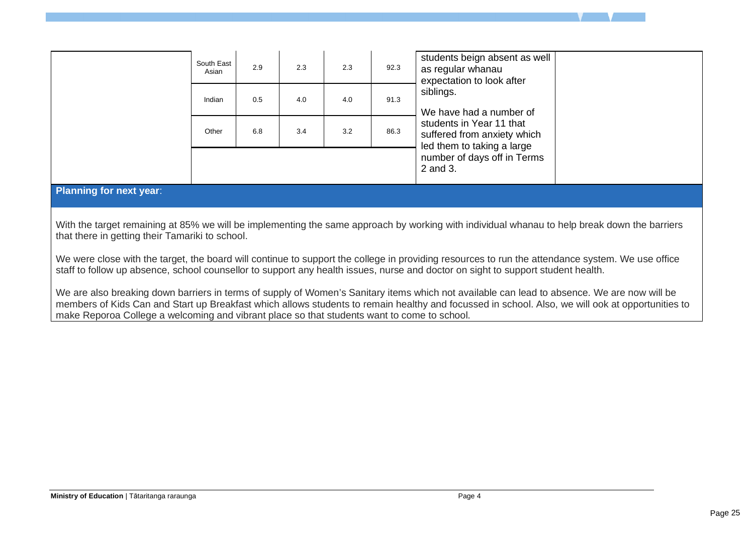|                                                                                                                                                                                                 | South East<br>Asian | 2.9 | 2.3 | 2.3 | 92.3 | students beign absent as well<br>as regular whanau<br>expectation to look after       |  |  |
|-------------------------------------------------------------------------------------------------------------------------------------------------------------------------------------------------|---------------------|-----|-----|-----|------|---------------------------------------------------------------------------------------|--|--|
|                                                                                                                                                                                                 | Indian              | 0.5 | 4.0 | 4.0 | 91.3 | siblings.<br>We have had a number of                                                  |  |  |
|                                                                                                                                                                                                 | Other               | 6.8 | 3.4 | 3.2 | 86.3 | students in Year 11 that<br>suffered from anxiety which<br>led them to taking a large |  |  |
|                                                                                                                                                                                                 |                     |     |     |     |      | number of days off in Terms<br>2 and 3.                                               |  |  |
| Planning for next year:                                                                                                                                                                         |                     |     |     |     |      |                                                                                       |  |  |
| With the target remaining at 85% we will be implementing the same approach by working with individual whanau to help break down the barriers<br>that there in getting their Tamariki to school. |                     |     |     |     |      |                                                                                       |  |  |

We were close with the target, the board will continue to support the college in providing resources to run the attendance system. We use office staff to follow up absence, school counsellor to support any health issues, nurse and doctor on sight to support student health.

We are also breaking down barriers in terms of supply of Women's Sanitary items which not available can lead to absence. We are now will be members of Kids Can and Start up Breakfast which allows students to remain healthy and focussed in school. Also, we will ook at opportunities to make Reporoa College a welcoming and vibrant place so that students want to come to school.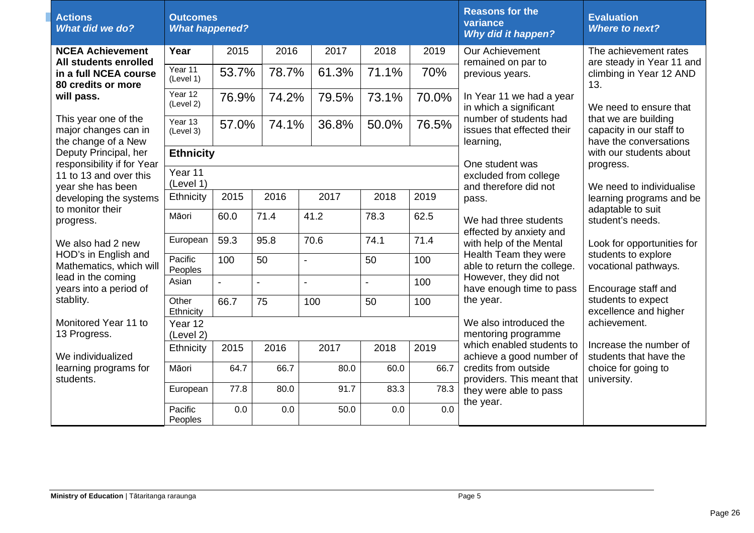| <b>Actions</b><br><b>What did we do?</b>                                  | <b>Outcomes</b><br><b>What happened?</b> |                |                |       |                |       | <b>Reasons for the</b><br>variance<br><b>Why did it happen?</b>   | Evaluation<br><b>Where to next?</b>                                        |
|---------------------------------------------------------------------------|------------------------------------------|----------------|----------------|-------|----------------|-------|-------------------------------------------------------------------|----------------------------------------------------------------------------|
| <b>NCEA Achievement</b><br>All students enrolled                          | Year                                     | 2015           | 2016           | 2017  | 2018           | 2019  | Our Achievement<br>remained on par to                             | The achievement rates<br>are steady in Year 11 and                         |
| in a full NCEA course<br>80 credits or more                               | Year 11<br>(Level 1)                     | 53.7%          | 78.7%          | 61.3% | 71.1%          | 70%   | previous years.                                                   | climbing in Year 12 AND<br>13.                                             |
| will pass.                                                                | Year 12<br>(Level 2)                     | 76.9%          | 74.2%          | 79.5% | 73.1%          | 70.0% | In Year 11 we had a year<br>in which a significant                | We need to ensure that                                                     |
| This year one of the<br>major changes can in<br>the change of a New       | Year 13<br>(Level 3)                     | 57.0%          | 74.1%          | 36.8% | 50.0%          | 76.5% | number of students had<br>issues that effected their<br>learning, | that we are building<br>capacity in our staff to<br>have the conversations |
| Deputy Principal, her                                                     | <b>Ethnicity</b>                         |                |                |       |                |       |                                                                   | with our students about                                                    |
| responsibility if for Year<br>11 to 13 and over this<br>year she has been | Year <sub>11</sub><br>(Level 1)          |                |                |       |                |       | One student was<br>excluded from college<br>and therefore did not | progress.<br>We need to individualise                                      |
| developing the systems<br>to monitor their<br>Māori<br>progress.          | Ethnicity                                | 2015           | 2016           | 2017  | 2018           | 2019  | pass.                                                             | learning programs and be                                                   |
|                                                                           |                                          | 60.0           | 71.4           | 41.2  | 78.3           | 62.5  | We had three students<br>effected by anxiety and                  | adaptable to suit<br>student's needs.                                      |
| We also had 2 new                                                         | European                                 | 59.3           | 95.8           | 70.6  | 74.1           | 71.4  | with help of the Mental                                           | Look for opportunities for                                                 |
| HOD's in English and<br>Mathematics, which will                           | Pacific<br>Peoples                       | 100            | 50             |       | 50             | 100   | Health Team they were<br>able to return the college.              | students to explore<br>vocational pathways.                                |
| lead in the coming<br>years into a period of                              | Asian                                    | $\blacksquare$ | $\blacksquare$ |       | $\overline{a}$ | 100   | However, they did not<br>have enough time to pass                 | Encourage staff and                                                        |
| stablity.                                                                 | Other<br>Ethnicity                       | 66.7           | 75             | 100   | 50             | 100   | the year.                                                         | students to expect<br>excellence and higher                                |
| Monitored Year 11 to<br>13 Progress.                                      | Year 12<br>(Level 2)                     |                |                |       |                |       | We also introduced the<br>mentoring programme                     | achievement.                                                               |
| We individualized                                                         | Ethnicity                                | 2015           | 2016           | 2017  | 2018           | 2019  | which enabled students to<br>achieve a good number of             | Increase the number of<br>students that have the                           |
| learning programs for<br>students.                                        | Māori                                    | 64.7           | 66.7           | 80.0  | 60.0           | 66.7  | credits from outside<br>providers. This meant that                | choice for going to<br>university.                                         |
|                                                                           | European                                 | 77.8           | 80.0           | 91.7  | 83.3           | 78.3  | they were able to pass<br>the year.                               |                                                                            |
|                                                                           | Pacific<br>Peoples                       | 0.0            | 0.0            | 50.0  | 0.0            | 0.0   |                                                                   |                                                                            |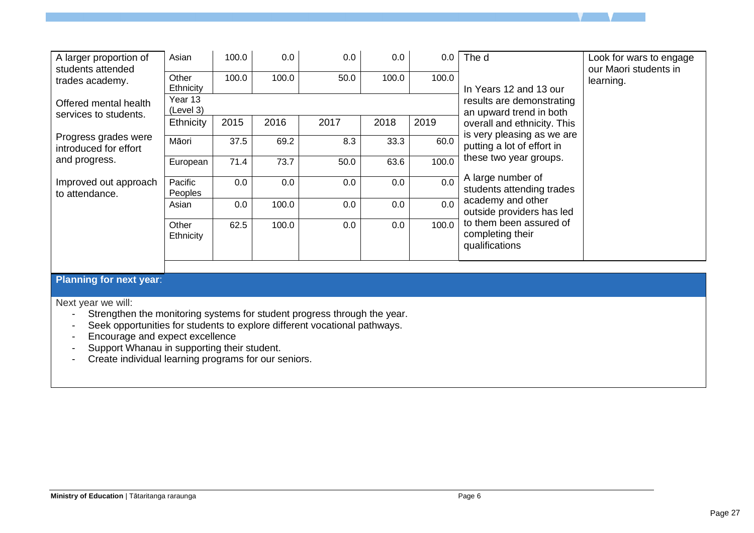| A larger proportion of<br>students attended    | Asian                | 100.0 | 0.0   | 0.0  | 0.0   | 0.0   | The d                                                                                                                                                             | Look for wars to engage<br>our Maori students in |  |  |
|------------------------------------------------|----------------------|-------|-------|------|-------|-------|-------------------------------------------------------------------------------------------------------------------------------------------------------------------|--------------------------------------------------|--|--|
| trades academy.                                | Other<br>Ethnicity   | 100.0 | 100.0 | 50.0 | 100.0 | 100.0 | In Years 12 and 13 our                                                                                                                                            | learning.                                        |  |  |
| Offered mental health<br>services to students. | Year 13<br>(Level 3) |       |       |      |       |       | results are demonstrating<br>an upward trend in both                                                                                                              |                                                  |  |  |
|                                                | Ethnicity            | 2015  | 2016  | 2017 | 2018  | 2019  | overall and ethnicity. This                                                                                                                                       |                                                  |  |  |
| Progress grades were<br>introduced for effort  | Māori                | 37.5  | 69.2  | 8.3  | 33.3  | 60.0  | is very pleasing as we are<br>putting a lot of effort in                                                                                                          |                                                  |  |  |
| and progress.                                  | European             | 71.4  | 73.7  | 50.0 | 63.6  | 100.0 | these two year groups.                                                                                                                                            |                                                  |  |  |
| Improved out approach<br>to attendance.        | Pacific<br>Peoples   | 0.0   | 0.0   | 0.0  | 0.0   | 0.0   | A large number of<br>students attending trades<br>academy and other<br>outside providers has led<br>to them been assured of<br>completing their<br>qualifications |                                                  |  |  |
|                                                | Asian                | 0.0   | 100.0 | 0.0  | 0.0   | 0.0   |                                                                                                                                                                   |                                                  |  |  |
|                                                | Other<br>Ethnicity   | 62.5  | 100.0 | 0.0  | 0.0   | 100.0 |                                                                                                                                                                   |                                                  |  |  |

# **Planning for next year**:

Next year we will:

- Strengthen the monitoring systems for student progress through the year.
- Seek opportunities for students to explore different vocational pathways.
- Encourage and expect excellence
- Support Whanau in supporting their student.
- Create individual learning programs for our seniors.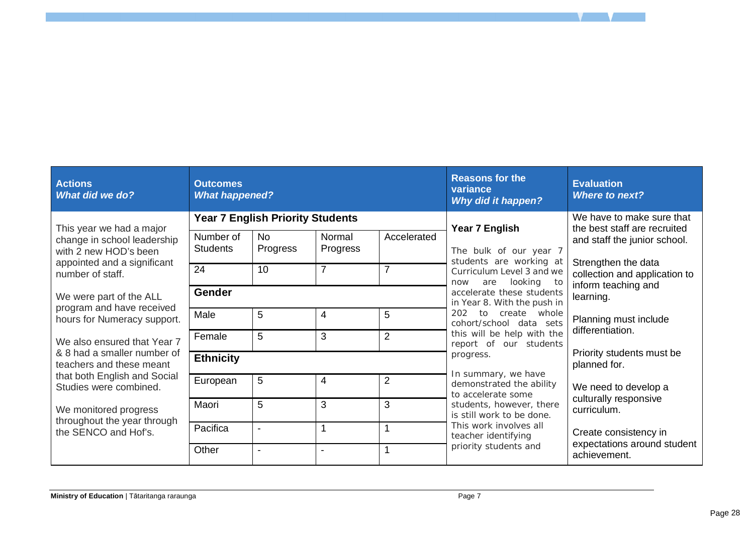| <b>Actions</b><br>What did we do?                                                                                                                                                                                                | <b>Outcomes</b><br><b>What happened?</b> |                                         |                    |                | <b>Reasons for the</b><br>variance<br>Why did it happen?                                                                                                                                                                                                                                                                                                                                                                                                                                                                                                                                  | <b>Evaluation</b><br><b>Where to next?</b>                |
|----------------------------------------------------------------------------------------------------------------------------------------------------------------------------------------------------------------------------------|------------------------------------------|-----------------------------------------|--------------------|----------------|-------------------------------------------------------------------------------------------------------------------------------------------------------------------------------------------------------------------------------------------------------------------------------------------------------------------------------------------------------------------------------------------------------------------------------------------------------------------------------------------------------------------------------------------------------------------------------------------|-----------------------------------------------------------|
|                                                                                                                                                                                                                                  |                                          | <b>Year 7 English Priority Students</b> |                    |                | Year 7 English                                                                                                                                                                                                                                                                                                                                                                                                                                                                                                                                                                            | We have to make sure that<br>the best staff are recruited |
| This year we had a major<br>change in school leadership<br>with 2 new HOD's been                                                                                                                                                 | Number of<br><b>Students</b>             | <b>No</b><br>Progress                   | Normal<br>Progress | Accelerated    | The bulk of our year 7                                                                                                                                                                                                                                                                                                                                                                                                                                                                                                                                                                    | and staff the junior school.                              |
| appointed and a significant<br>number of staff.                                                                                                                                                                                  | 24                                       | 10                                      | $\overline{7}$     | $\overline{7}$ | students are working at<br>Strengthen the data<br>Curriculum Level 3 and we<br>looking to<br>are<br>now<br>accelerate these students<br>learning.<br>in Year 8. With the push in<br>create whole<br>202<br>10 <sup>1</sup><br>cohort/school data sets<br>differentiation.<br>this will be help with the<br>report of our students<br>progress.<br>planned for.<br>In summary, we have<br>demonstrated the ability<br>to accelerate some<br>culturally responsive<br>students, however, there<br>curriculum.<br>is still work to be done.<br>This work involves all<br>teacher identifying | collection and application to<br>inform teaching and      |
| We were part of the ALL<br>program and have received<br>hours for Numeracy support.                                                                                                                                              | <b>Gender</b>                            |                                         |                    |                |                                                                                                                                                                                                                                                                                                                                                                                                                                                                                                                                                                                           |                                                           |
|                                                                                                                                                                                                                                  | Male                                     | 5                                       | $\overline{4}$     | 5              |                                                                                                                                                                                                                                                                                                                                                                                                                                                                                                                                                                                           | Planning must include                                     |
| We also ensured that Year 7<br>& 8 had a smaller number of<br>teachers and these meant<br>that both English and Social<br>Studies were combined.<br>We monitored progress<br>throughout the year through<br>the SENCO and Hof's. | Female                                   | 5                                       | 3                  | $\overline{2}$ |                                                                                                                                                                                                                                                                                                                                                                                                                                                                                                                                                                                           |                                                           |
|                                                                                                                                                                                                                                  | <b>Ethnicity</b>                         |                                         |                    |                |                                                                                                                                                                                                                                                                                                                                                                                                                                                                                                                                                                                           | Priority students must be                                 |
|                                                                                                                                                                                                                                  | European                                 | 5                                       | 4                  | $\overline{2}$ |                                                                                                                                                                                                                                                                                                                                                                                                                                                                                                                                                                                           | We need to develop a                                      |
|                                                                                                                                                                                                                                  | Maori                                    | 5                                       | 3                  | 3              |                                                                                                                                                                                                                                                                                                                                                                                                                                                                                                                                                                                           |                                                           |
|                                                                                                                                                                                                                                  | Pacifica                                 |                                         | 1                  |                |                                                                                                                                                                                                                                                                                                                                                                                                                                                                                                                                                                                           | Create consistency in                                     |
|                                                                                                                                                                                                                                  | Other                                    |                                         |                    |                | priority students and                                                                                                                                                                                                                                                                                                                                                                                                                                                                                                                                                                     | expectations around student<br>achievement.               |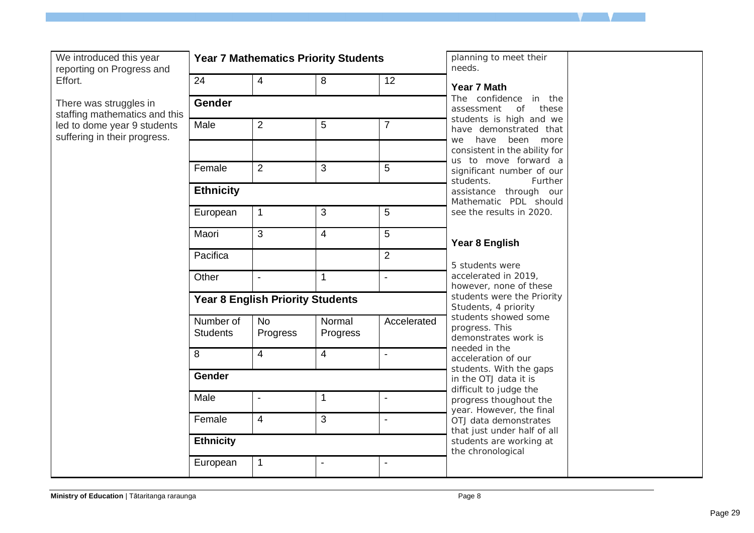| We introduced this year<br>reporting on Progress and                                                                   | <b>Year 7 Mathematics Priority Students</b> |                                         |                    |                          | planning to meet their<br>needs.                                             |
|------------------------------------------------------------------------------------------------------------------------|---------------------------------------------|-----------------------------------------|--------------------|--------------------------|------------------------------------------------------------------------------|
| Effort.                                                                                                                | 24                                          | 4                                       | 8                  | 12                       | Year 7 Math                                                                  |
| There was struggles in<br>staffing mathematics and this<br>led to dome year 9 students<br>suffering in their progress. | <b>Gender</b>                               |                                         |                    |                          | The confidence<br>in the<br>of<br>these<br>assessment                        |
|                                                                                                                        | Male                                        | $\overline{2}$                          | 5                  | $\overline{7}$           | students is high and we<br>have demonstrated that<br>have been more<br>we    |
|                                                                                                                        |                                             |                                         |                    |                          | consistent in the ability for<br>us to move forward a                        |
|                                                                                                                        | Female                                      | $\overline{2}$                          | 3                  | 5                        | significant number of our<br>students.<br>Further                            |
|                                                                                                                        | <b>Ethnicity</b>                            |                                         |                    |                          | assistance through our<br>Mathematic PDL should                              |
|                                                                                                                        | European                                    | $\mathbf 1$                             | 3                  | 5                        | see the results in 2020.                                                     |
|                                                                                                                        | Maori                                       | 3                                       | $\overline{4}$     | 5                        | Year 8 English                                                               |
|                                                                                                                        | Pacifica                                    |                                         |                    | $\overline{2}$           | 5 students were                                                              |
|                                                                                                                        | Other                                       | $\blacksquare$                          | $\mathbf{1}$       | $\blacksquare$           | accelerated in 2019,<br>however, none of these                               |
|                                                                                                                        |                                             | <b>Year 8 English Priority Students</b> |                    |                          | students were the Priority<br>Students, 4 priority                           |
|                                                                                                                        | Number of<br><b>Students</b>                | <b>No</b><br>Progress                   | Normal<br>Progress | Accelerated              | students showed some<br>progress. This<br>demonstrates work is               |
|                                                                                                                        | 8                                           | 4                                       | $\overline{4}$     | $\overline{a}$           | needed in the<br>acceleration of our                                         |
|                                                                                                                        | Gender                                      |                                         |                    |                          | students. With the gaps<br>in the OTJ data it is                             |
|                                                                                                                        | Male                                        | $\overline{\phantom{a}}$                | $\mathbf{1}$       | $\blacksquare$           | difficult to judge the<br>progress thoughout the<br>year. However, the final |
|                                                                                                                        | Female                                      | 4                                       | 3                  | $\overline{a}$           | OTJ data demonstrates<br>that just under half of all                         |
|                                                                                                                        | <b>Ethnicity</b>                            |                                         |                    |                          | students are working at<br>the chronological                                 |
|                                                                                                                        | European                                    | $\mathbf 1$                             | $\blacksquare$     | $\overline{\phantom{a}}$ |                                                                              |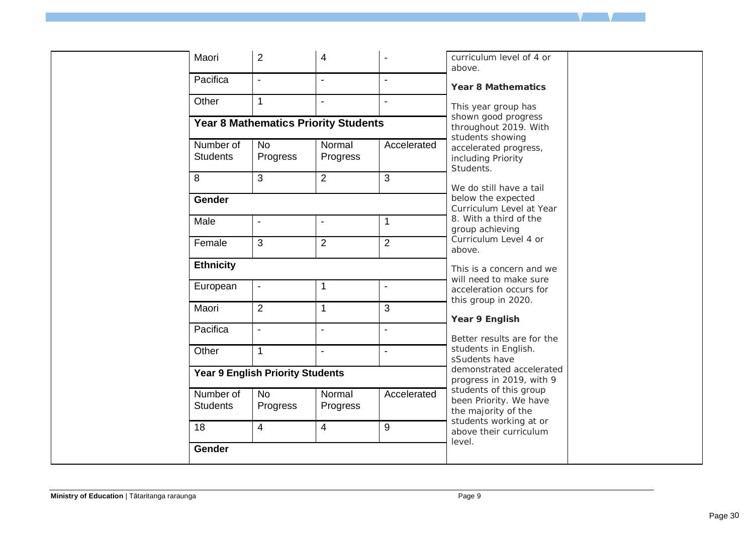| Maori                        | 2                                       | 4                                           |                          | curriculum level of 4 or<br>above.                                      |
|------------------------------|-----------------------------------------|---------------------------------------------|--------------------------|-------------------------------------------------------------------------|
| Pacifica                     | $\blacksquare$                          | $\blacksquare$                              | $\blacksquare$           | Year 8 Mathematics                                                      |
| Other                        | $\mathbf{1}$                            | $\blacksquare$                              | $\blacksquare$           | This year group has                                                     |
|                              |                                         | <b>Year 8 Mathematics Priority Students</b> |                          | shown good progress<br>throughout 2019. With                            |
| Number of                    | <b>No</b>                               | Normal                                      | Accelerated              | students showing<br>accelerated progress,                               |
| <b>Students</b>              | Progress                                | Progress                                    |                          | including Priority<br>Students.                                         |
| 8                            | 3                                       | $\overline{2}$                              | 3                        |                                                                         |
|                              |                                         |                                             |                          | We do still have a tail                                                 |
| <b>Gender</b>                |                                         |                                             |                          | below the expected<br>Curriculum Level at Year                          |
| Male                         | $\overline{\phantom{a}}$                | $\blacksquare$                              | $\mathbf{1}$             | 8. With a third of the<br>group achieving                               |
| Female                       | 3                                       | $\overline{2}$                              | $\overline{2}$           | Curriculum Level 4 or<br>above.                                         |
| <b>Ethnicity</b>             |                                         |                                             |                          | This is a concern and we<br>will need to make sure                      |
| European                     | $\blacksquare$                          | -1                                          | $\blacksquare$           | acceleration occurs for<br>this group in 2020.                          |
| Maori                        | $\overline{2}$                          | 1                                           | 3                        |                                                                         |
|                              |                                         |                                             |                          | Year 9 English                                                          |
| Pacifica                     | $\blacksquare$                          | $\blacksquare$                              | $\blacksquare$           | Better results are for the                                              |
| Other                        | $\mathbf{1}$                            | $\blacksquare$                              | $\overline{\phantom{a}}$ | students in English.<br>sSudents have                                   |
|                              | <b>Year 9 English Priority Students</b> |                                             |                          | demonstrated accelerated<br>progress in 2019, with 9                    |
| Number of<br><b>Students</b> | <b>No</b><br>Progress                   | Normal<br>Progress                          | Accelerated              | students of this group<br>been Priority. We have<br>the majority of the |
| 18                           | $\overline{4}$                          | $\overline{4}$                              | 9                        | students working at or<br>above their curriculum                        |
| Gender                       |                                         |                                             |                          | level.                                                                  |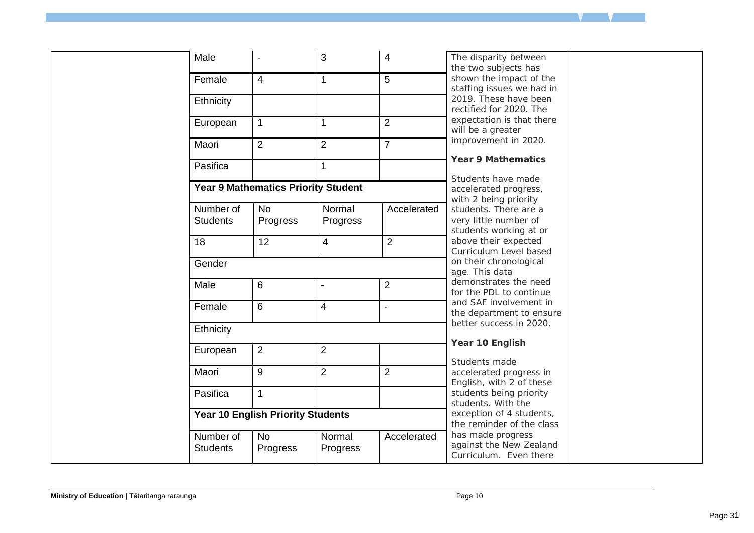|  | Male                         | $\overline{\phantom{a}}$                   | 3                  | 4              | The disparity between<br>the two subjects has                            |
|--|------------------------------|--------------------------------------------|--------------------|----------------|--------------------------------------------------------------------------|
|  | Female                       | $\overline{4}$                             | $\mathbf 1$        | 5              | shown the impact of the<br>staffing issues we had in                     |
|  | Ethnicity                    |                                            |                    |                | 2019. These have been<br>rectified for 2020. The                         |
|  | European                     | $\mathbf{1}$                               | $\mathbf{1}$       | $\overline{2}$ | expectation is that there<br>will be a greater                           |
|  | Maori                        | 2                                          | $\overline{2}$     | $\overline{7}$ | improvement in 2020.                                                     |
|  | Pasifica                     |                                            |                    |                | Year 9 Mathematics                                                       |
|  |                              | <b>Year 9 Mathematics Priority Student</b> |                    |                | Students have made<br>accelerated progress,<br>with 2 being priority     |
|  | Number of<br><b>Students</b> | <b>No</b><br>Progress                      | Normal<br>Progress | Accelerated    | students. There are a<br>very little number of<br>students working at or |
|  | 18                           | 12                                         | $\overline{4}$     | $\overline{2}$ | above their expected<br>Curriculum Level based                           |
|  | Gender                       |                                            |                    |                | on their chronological<br>age. This data                                 |
|  | Male                         | 6                                          | $\blacksquare$     | $\overline{2}$ | demonstrates the need<br>for the PDL to continue                         |
|  | Female                       | 6                                          | 4                  | $\blacksquare$ | and SAF involvement in<br>the department to ensure                       |
|  | Ethnicity                    |                                            |                    |                | better success in 2020.                                                  |
|  | European                     | 2                                          | $\overline{2}$     |                | Year 10 English<br>Students made                                         |
|  | Maori                        | 9                                          | $\overline{2}$     | $\overline{2}$ | accelerated progress in<br>English, with 2 of these                      |
|  | Pasifica                     | $\mathbf{1}$                               |                    |                | students being priority<br>students. With the                            |
|  |                              | <b>Year 10 English Priority Students</b>   |                    |                | exception of 4 students,<br>the reminder of the class                    |
|  | Number of<br><b>Students</b> | <b>No</b><br>Progress                      | Normal<br>Progress | Accelerated    | has made progress<br>against the New Zealand<br>Curriculum. Even there   |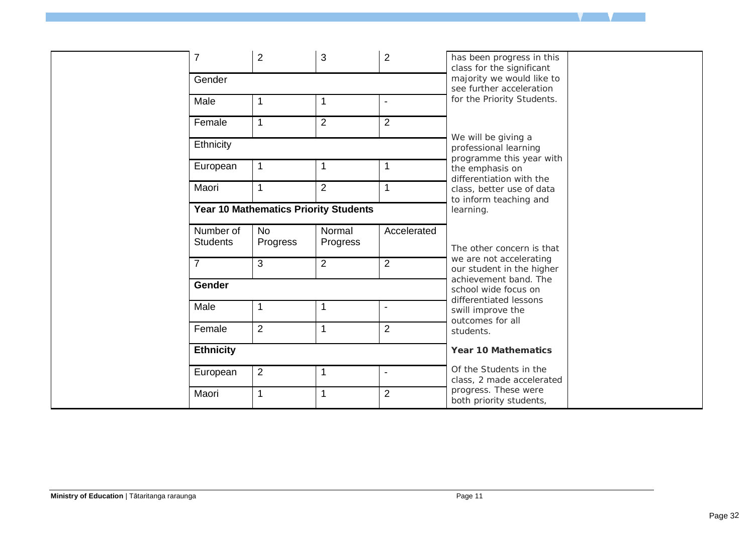| $\overline{7}$               | $\overline{2}$                               | 3                  | $\overline{c}$ | has been progress in this<br>class for the significant |
|------------------------------|----------------------------------------------|--------------------|----------------|--------------------------------------------------------|
| Gender                       |                                              |                    |                | majority we would like to<br>see further acceleration  |
| Male                         | -1                                           | 1                  | $\blacksquare$ | for the Priority Students.                             |
| Female                       | $\mathbf 1$                                  | $\overline{2}$     | $\overline{2}$ |                                                        |
| Ethnicity                    |                                              |                    |                | We will be giving a<br>professional learning           |
| European                     | $\mathbf{1}$                                 | 1                  | 1              | programme this year with<br>the emphasis on            |
| Maori                        | $\mathbf{1}$                                 | $\overline{2}$     | 1              | differentiation with the<br>class, better use of data  |
|                              | <b>Year 10 Mathematics Priority Students</b> |                    |                | to inform teaching and<br>learning.                    |
| Number of<br><b>Students</b> | <b>No</b><br>Progress                        | Normal<br>Progress | Accelerated    | The other concern is that                              |
| $\overline{7}$               | 3                                            | $\overline{2}$     | $\overline{2}$ | we are not accelerating<br>our student in the higher   |
| Gender                       |                                              |                    |                | achievement band. The<br>school wide focus on          |
| Male                         | $\mathbf 1$                                  | 1                  | $\blacksquare$ | differentiated lessons<br>swill improve the            |
| Female                       | 2                                            | 1                  | $\overline{2}$ | outcomes for all<br>students.                          |
| <b>Ethnicity</b>             |                                              |                    |                | Year 10 Mathematics                                    |
| European                     | $\overline{2}$                               | 1                  | $\blacksquare$ | Of the Students in the<br>class, 2 made accelerated    |
| Maori                        | 1                                            | $\mathbf 1$        | $\overline{2}$ | progress. These were<br>both priority students,        |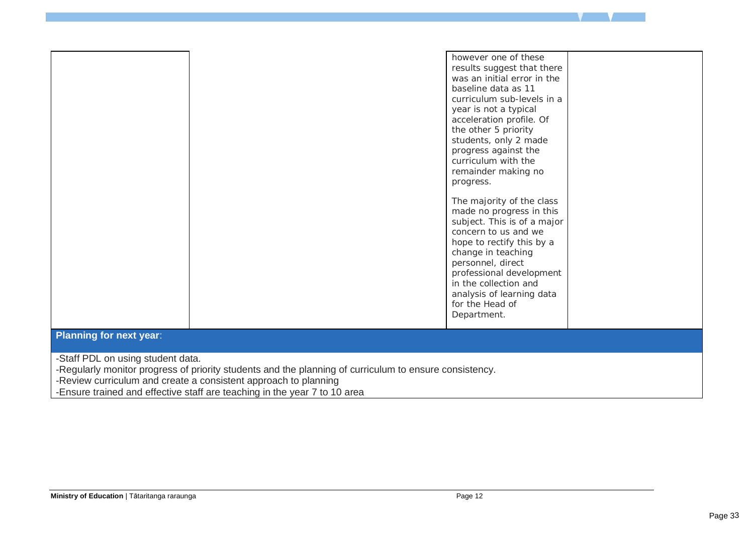|                                | however one of these<br>results suggest that there<br>was an initial error in the<br>baseline data as 11<br>curriculum sub-levels in a<br>year is not a typical<br>acceleration profile. Of<br>the other 5 priority<br>students, only 2 made<br>progress against the<br>curriculum with the<br>remainder making no<br>progress.<br>The majority of the class<br>made no progress in this<br>subject. This is of a major<br>concern to us and we<br>hope to rectify this by a<br>change in teaching<br>personnel, direct<br>professional development<br>in the collection and<br>analysis of learning data<br>for the Head of<br>Department. |
|--------------------------------|---------------------------------------------------------------------------------------------------------------------------------------------------------------------------------------------------------------------------------------------------------------------------------------------------------------------------------------------------------------------------------------------------------------------------------------------------------------------------------------------------------------------------------------------------------------------------------------------------------------------------------------------|
| <b>Planning for next year:</b> |                                                                                                                                                                                                                                                                                                                                                                                                                                                                                                                                                                                                                                             |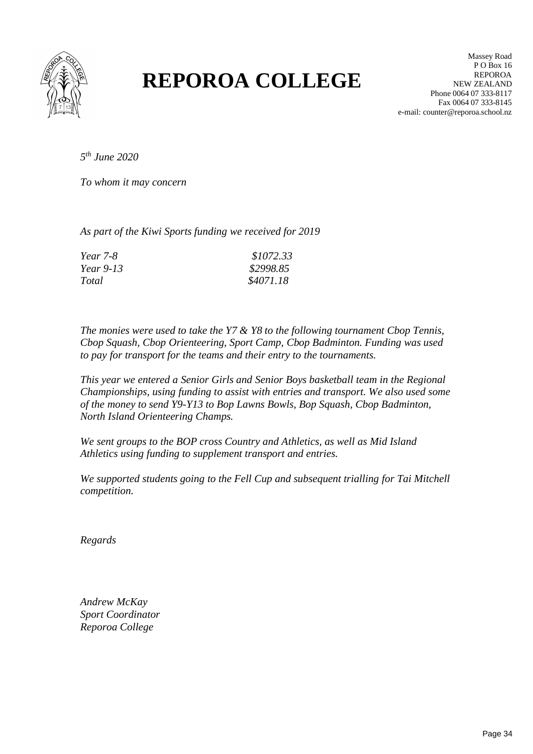

# **REPOROA COLLEGE**

Massey Road P O Box 16 REPOROA NEW ZEALAND Phone 0064 07 333-8117 Fax 0064 07 333-8145 e-mail: counter@reporoa.school.nz

*5 th June 2020*

*To whom it may concern*

*As part of the Kiwi Sports funding we received for 2019*

| <i>Year 7-8</i> | \$1072.33 |
|-----------------|-----------|
| Year 9-13       | \$2998.85 |
| Total           | \$4071.18 |

*The monies were used to take the Y7 & Y8 to the following tournament Cbop Tennis, Cbop Squash, Cbop Orienteering, Sport Camp, Cbop Badminton. Funding was used to pay for transport for the teams and their entry to the tournaments.*

*This year we entered a Senior Girls and Senior Boys basketball team in the Regional Championships, using funding to assist with entries and transport. We also used some of the money to send Y9-Y13 to Bop Lawns Bowls, Bop Squash, Cbop Badminton, North Island Orienteering Champs.*

*We sent groups to the BOP cross Country and Athletics, as well as Mid Island Athletics using funding to supplement transport and entries.*

*We supported students going to the Fell Cup and subsequent trialling for Tai Mitchell competition.*

*Regards*

*Andrew McKay Sport Coordinator Reporoa College*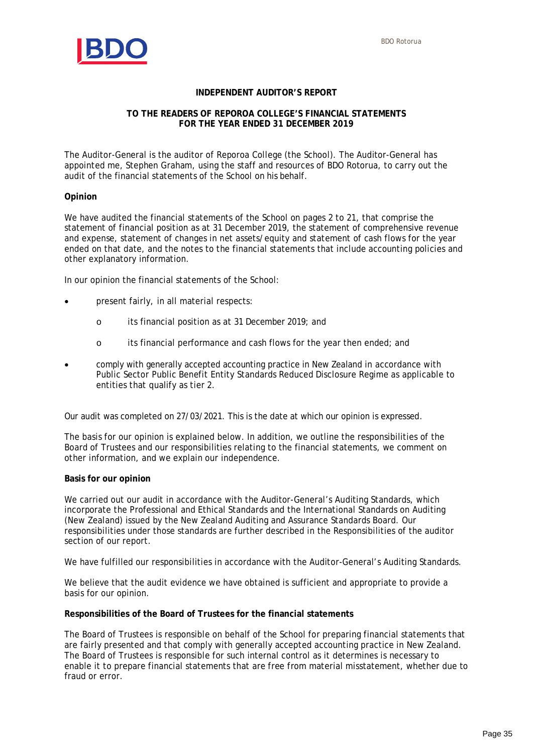

# **INDEPENDENT AUDITOR'S REPORT**

## **TO THE READERS OF REPOROA COLLEGE'S FINANCIAL STATEMENTS FOR THE YEAR ENDED 31 DECEMBER 2019**

The Auditor-General is the auditor of Reporoa College (the School). The Auditor-General has appointed me, Stephen Graham, using the staff and resources of BDO Rotorua, to carry out the audit of the financial statements of the School on his behalf.

## **Opinion**

We have audited the financial statements of the School on pages 2 to 21, that comprise the statement of financial position as at 31 December 2019, the statement of comprehensive revenue and expense, statement of changes in net assets/equity and statement of cash flows for the year ended on that date, and the notes to the financial statements that include accounting policies and other explanatory information.

In our opinion the financial statements of the School:

- present fairly, in all material respects:
	- o its financial position as at 31 December 2019; and
	- o its financial performance and cash flows for the year then ended; and
- comply with generally accepted accounting practice in New Zealand in accordance with Public Sector Public Benefit Entity Standards Reduced Disclosure Regime as applicable to entities that qualify as tier 2.

Our audit was completed on 27/03/2021. This is the date at which our opinion is expressed.

The basis for our opinion is explained below. In addition, we outline the responsibilities of the Board of Trustees and our responsibilities relating to the financial statements, we comment on other information, and we explain our independence.

## **Basis for our opinion**

We carried out our audit in accordance with the Auditor-General's Auditing Standards, which incorporate the Professional and Ethical Standards and the International Standards on Auditing (New Zealand) issued by the New Zealand Auditing and Assurance Standards Board. Our responsibilities under those standards are further described in the Responsibilities of the auditor section of our report.

We have fulfilled our responsibilities in accordance with the Auditor-General's Auditing Standards.

We believe that the audit evidence we have obtained is sufficient and appropriate to provide a basis for our opinion.

**Responsibilities of the Board of Trustees for the financial statements**

The Board of Trustees is responsible on behalf of the School for preparing financial statements that are fairly presented and that comply with generally accepted accounting practice in New Zealand. The Board of Trustees is responsible for such internal control as it determines is necessary to enable it to prepare financial statements that are free from material misstatement, whether due to fraud or error.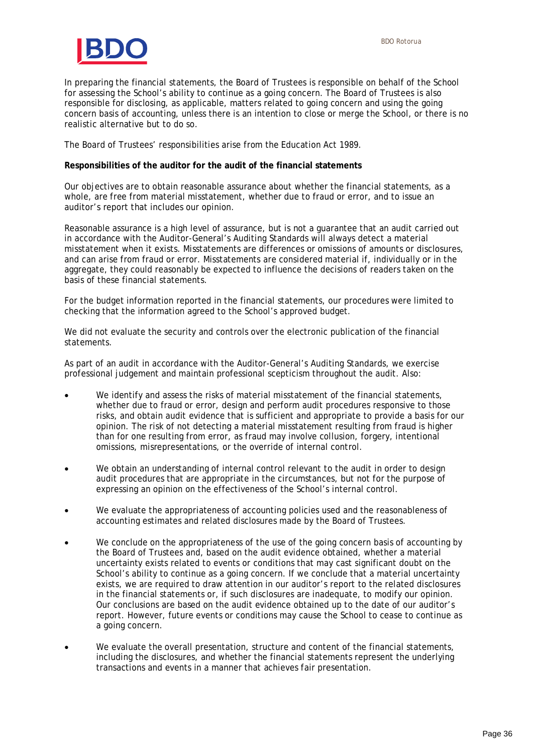

In preparing the financial statements, the Board of Trustees is responsible on behalf of the School for assessing the School's ability to continue as a going concern. The Board of Trustees is also responsible for disclosing, as applicable, matters related to going concern and using the going concern basis of accounting, unless there is an intention to close or merge the School, or there is no realistic alternative but to do so.

The Board of Trustees' responsibilities arise from the Education Act 1989.

**Responsibilities of the auditor for the audit of the financial statements**

Our objectives are to obtain reasonable assurance about whether the financial statements, as a whole, are free from material misstatement, whether due to fraud or error, and to issue an auditor's report that includes our opinion.

Reasonable assurance is a high level of assurance, but is not a guarantee that an audit carried out in accordance with the Auditor-General's Auditing Standards will always detect a material misstatement when it exists. Misstatements are differences or omissions of amounts or disclosures, and can arise from fraud or error. Misstatements are considered material if, individually or in the aggregate, they could reasonably be expected to influence the decisions of readers taken on the basis of these financial statements.

For the budget information reported in the financial statements, our procedures were limited to checking that the information agreed to the School's approved budget.

We did not evaluate the security and controls over the electronic publication of the financial statements.

As part of an audit in accordance with the Auditor-General's Auditing Standards, we exercise professional judgement and maintain professional scepticism throughout the audit. Also:

- We identify and assess the risks of material misstatement of the financial statements, whether due to fraud or error, design and perform audit procedures responsive to those risks, and obtain audit evidence that is sufficient and appropriate to provide a basis for our opinion. The risk of not detecting a material misstatement resulting from fraud is higher than for one resulting from error, as fraud may involve collusion, forgery, intentional omissions, misrepresentations, or the override of internal control.
- We obtain an understanding of internal control relevant to the audit in order to design audit procedures that are appropriate in the circumstances, but not for the purpose of expressing an opinion on the effectiveness of the School's internal control.
- We evaluate the appropriateness of accounting policies used and the reasonableness of accounting estimates and related disclosures made by the Board of Trustees.
- We conclude on the appropriateness of the use of the going concern basis of accounting by the Board of Trustees and, based on the audit evidence obtained, whether a material uncertainty exists related to events or conditions that may cast significant doubt on the School's ability to continue as a going concern. If we conclude that a material uncertainty exists, we are required to draw attention in our auditor's report to the related disclosures in the financial statements or, if such disclosures are inadequate, to modify our opinion. Our conclusions are based on the audit evidence obtained up to the date of our auditor's report. However, future events or conditions may cause the School to cease to continue as a going concern.
- We evaluate the overall presentation, structure and content of the financial statements, including the disclosures, and whether the financial statements represent the underlying transactions and events in a manner that achieves fair presentation.